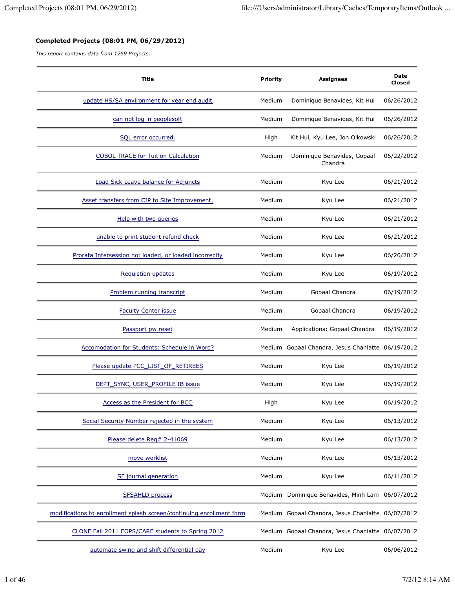## **Completed Projects (08:01 PM, 06/29/2012)**

*This report contains data from 1269 Projects.*

| <b>Title</b>                                                         | <b>Priority</b> | <b>Assignees</b>                                  | Date<br>Closed |
|----------------------------------------------------------------------|-----------------|---------------------------------------------------|----------------|
| update HS/SA environment for year end audit                          | Medium          | Dominique Benavides, Kit Hui                      | 06/26/2012     |
| can not log in peoplesoft                                            | Medium          | Dominique Benavides, Kit Hui                      | 06/26/2012     |
| SQL error occurred.                                                  | High            | Kit Hui, Kyu Lee, Jon Olkowski                    | 06/26/2012     |
| <b>COBOL TRACE for Tuition Calculation</b>                           | Medium          | Dominique Benavides, Gopaal<br>Chandra            | 06/22/2012     |
| Load Sick Leave balance for Adjuncts                                 | Medium          | Kyu Lee                                           | 06/21/2012     |
| Asset transfers from CIP to Site Improvement.                        | Medium          | Kyu Lee                                           | 06/21/2012     |
| Help with two queries                                                | Medium          | Kyu Lee                                           | 06/21/2012     |
| unable to print student refund check                                 | Medium          | Kyu Lee                                           | 06/21/2012     |
| Prorata Intersession not loaded, or loaded incorrectly               | Medium          | Kyu Lee                                           | 06/20/2012     |
| Requistion updates                                                   | Medium          | Kyu Lee                                           | 06/19/2012     |
| Problem running transcript                                           | Medium          | Gopaal Chandra                                    | 06/19/2012     |
| <b>Faculty Center issue</b>                                          | Medium          | Gopaal Chandra                                    | 06/19/2012     |
| Passport pw reset                                                    | Medium          | Applications: Gopaal Chandra                      | 06/19/2012     |
| Accomodation for Students: Schedule in Word?                         |                 | Medium Gopaal Chandra, Jesus Chanlatte 06/19/2012 |                |
| Please update PCC_LIST_OF_RETIREES                                   | Medium          | Kyu Lee                                           | 06/19/2012     |
| DEPT_SYNC, USER_PROFILE IB issue                                     | Medium          | Kyu Lee                                           | 06/19/2012     |
| Access as the President for BCC                                      | High            | Kyu Lee                                           | 06/19/2012     |
| Social Security Number rejected in the system                        | Medium          | Kyu Lee                                           | 06/13/2012     |
| Please delete Req# 2-41069                                           | Medium          | Kyu Lee                                           | 06/13/2012     |
| move worklist                                                        | Medium          | Kyu Lee                                           | 06/13/2012     |
| SF journal generation                                                | Medium          | Kyu Lee                                           | 06/11/2012     |
| <b>SFSAHLD process</b>                                               |                 | Medium Dominique Benavides, Minh Lam 06/07/2012   |                |
| modifications to enrollment splash screen/continuing enrollment form |                 | Medium Gopaal Chandra, Jesus Chanlatte 06/07/2012 |                |
| CLONE Fall 2011 EOPS/CARE students to Spring 2012                    |                 | Medium Gopaal Chandra, Jesus Chanlatte 06/07/2012 |                |
| automate swing and shift differential pay                            | Medium          | Kyu Lee                                           | 06/06/2012     |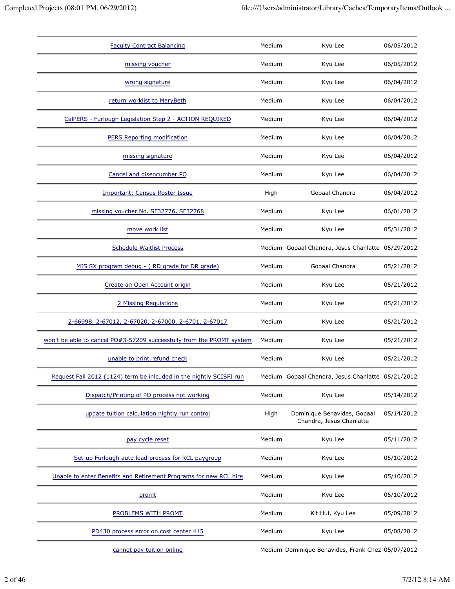| <b>Faculty Contract Balancing</b>                                     | Medium | Kyu Lee                                                 | 06/05/2012 |
|-----------------------------------------------------------------------|--------|---------------------------------------------------------|------------|
| missing voucher                                                       | Medium | Kyu Lee                                                 | 06/05/2012 |
| wrong signature                                                       | Medium | Kyu Lee                                                 | 06/04/2012 |
| return worklist to MaryBeth                                           | Medium | Kyu Lee                                                 | 06/04/2012 |
| CalPERS - Furlough Legislation Step 2 - ACTION REQUIRED               | Medium | Kyu Lee                                                 | 06/04/2012 |
| PERS Reporting modification                                           | Medium | Kyu Lee                                                 | 06/04/2012 |
| missing signature                                                     | Medium | Kyu Lee                                                 | 06/04/2012 |
| Cancel and disencumber PO                                             | Medium | Kyu Lee                                                 | 06/04/2012 |
| <b>Important: Census Roster Issue</b>                                 | High   | Gopaal Chandra                                          | 06/04/2012 |
| missing voucher No. SF32776, SF32768                                  | Medium | Kyu Lee                                                 | 06/01/2012 |
| move work list                                                        | Medium | Kyu Lee                                                 | 05/31/2012 |
| <b>Schedule Waitlist Process</b>                                      |        | Medium Gopaal Chandra, Jesus Chanlatte 05/29/2012       |            |
| MIS SX program debug - (RD grade for DR grade)                        | Medium | Gopaal Chandra                                          | 05/21/2012 |
| Create an Open Account origin                                         | Medium | Kyu Lee                                                 | 05/21/2012 |
| 2 Missing Requistions                                                 | Medium | Kyu Lee                                                 | 05/21/2012 |
| 2-66998, 2-67012, 2-67020, 2-67000, 2-6701, 2-67017                   | Medium | Kyu Lee                                                 | 05/21/2012 |
| won't be able to cancel PO#3-57209 successfully from the PROMT system | Medium | Kyu Lee                                                 | 05/21/2012 |
| unable to print refund check                                          | Medium | Kyu Lee                                                 | 05/21/2012 |
| Request Fall 2012 (1124) term be inlcuded in the nightly SCISFI run   |        | Medium Gopaal Chandra, Jesus Chanlatte 05/21/2012       |            |
| Dispatch/Printing of PO process not working                           | Medium | Kyu Lee                                                 | 05/14/2012 |
| update tuition calculation nightly run control                        | High   | Dominique Benavides, Gopaal<br>Chandra, Jesus Chanlatte | 05/14/2012 |
| pay cycle reset                                                       | Medium | Kyu Lee                                                 | 05/11/2012 |
| Set-up Furlough auto load process for RCL paygroup                    | Medium | Kyu Lee                                                 | 05/10/2012 |
| Unable to enter Benefits and Retirement Programs for new RCL hire     | Medium | Kyu Lee                                                 | 05/10/2012 |
| promt                                                                 | Medium | Kyu Lee                                                 | 05/10/2012 |
| PROBLEMS WITH PROMT                                                   | Medium | Kit Hui, Kyu Lee                                        | 05/09/2012 |
| PD430 process error on cost center 415                                | Medium | Kyu Lee                                                 | 05/08/2012 |

cannot pay tuition online Cannot pay tuition online Medium Dominique Benavides, Frank Chez 05/07/2012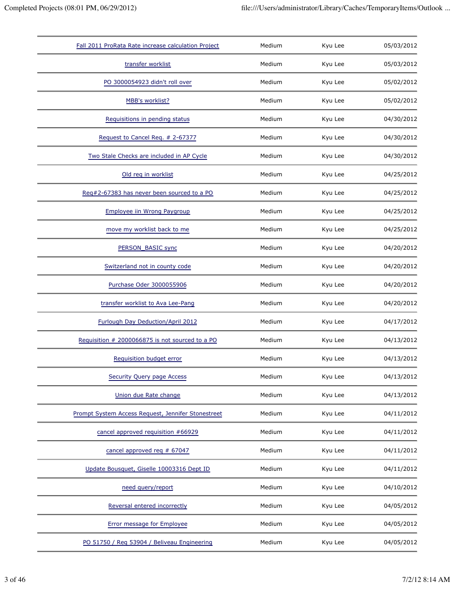| Fall 2011 ProRata Rate increase calculation Project | Medium | Kyu Lee | 05/03/2012 |
|-----------------------------------------------------|--------|---------|------------|
| transfer worklist                                   | Medium | Kyu Lee | 05/03/2012 |
| PO 3000054923 didn't roll over                      | Medium | Kyu Lee | 05/02/2012 |
| <b>MBB's worklist?</b>                              | Medium | Kyu Lee | 05/02/2012 |
| Requisitions in pending status                      | Medium | Kyu Lee | 04/30/2012 |
| Request to Cancel Req. # 2-67377                    | Medium | Kyu Lee | 04/30/2012 |
| Two Stale Checks are included in AP Cycle           | Medium | Kyu Lee | 04/30/2012 |
| Old reg in worklist                                 | Medium | Kyu Lee | 04/25/2012 |
| Req#2-67383 has never been sourced to a PO          | Medium | Kyu Lee | 04/25/2012 |
| <b>Employee iin Wrong Paygroup</b>                  | Medium | Kyu Lee | 04/25/2012 |
| move my worklist back to me                         | Medium | Kyu Lee | 04/25/2012 |
| PERSON BASIC sync                                   | Medium | Kyu Lee | 04/20/2012 |
| Switzerland not in county code                      | Medium | Kyu Lee | 04/20/2012 |
| Purchase Oder 3000055906                            | Medium | Kyu Lee | 04/20/2012 |
| transfer worklist to Ava Lee-Pang                   | Medium | Kyu Lee | 04/20/2012 |
| Furlough Day Deduction/April 2012                   | Medium | Kyu Lee | 04/17/2012 |
| Requisition # 2000066875 is not sourced to a PO     | Medium | Kyu Lee | 04/13/2012 |
| Requisition budget error                            | Medium | Kyu Lee | 04/13/2012 |
| Security Query page Access                          | Medium | Kyu Lee | 04/13/2012 |
| Union due Rate change                               | Medium | Kyu Lee | 04/13/2012 |
| Prompt System Access Request, Jennifer Stonestreet  | Medium | Kyu Lee | 04/11/2012 |
| cancel approved requisition #66929                  | Medium | Kyu Lee | 04/11/2012 |
| cancel approved req # 67047                         | Medium | Kyu Lee | 04/11/2012 |
| Update Bousquet, Giselle 10003316 Dept ID           | Medium | Kyu Lee | 04/11/2012 |
| need query/report                                   | Medium | Kyu Lee | 04/10/2012 |
| Reversal entered incorrectly                        | Medium | Kyu Lee | 04/05/2012 |
| <b>Error message for Employee</b>                   | Medium | Kyu Lee | 04/05/2012 |
| PO 51750 / Reg 53904 / Beliveau Engineering         | Medium | Kyu Lee | 04/05/2012 |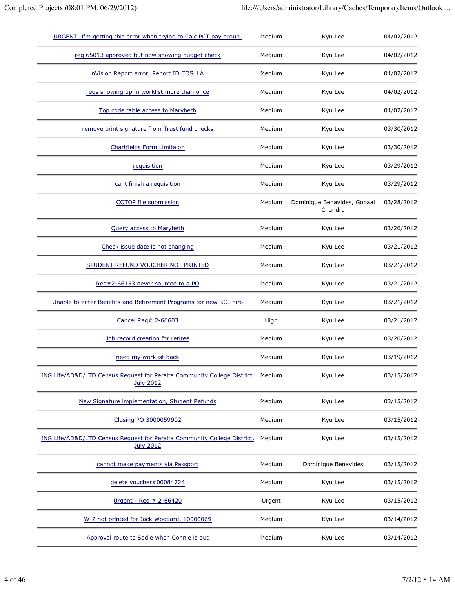| URGENT -I'm getting this error when trying to Calc PCT pay group.                            | Medium | Kyu Lee                                | 04/02/2012 |
|----------------------------------------------------------------------------------------------|--------|----------------------------------------|------------|
| req 65013 approved but now showing budget check                                              | Medium | Kyu Lee                                | 04/02/2012 |
| nVision Report error, Report ID COS_LA                                                       | Medium | Kyu Lee                                | 04/02/2012 |
| reqs showing up in worklist more than once                                                   | Medium | Kyu Lee                                | 04/02/2012 |
| Top code table access to Marybeth                                                            | Medium | Kyu Lee                                | 04/02/2012 |
| remove print signature from Trust fund checks                                                | Medium | Kyu Lee                                | 03/30/2012 |
| <b>Chartfields Form Limitaion</b>                                                            | Medium | Kyu Lee                                | 03/30/2012 |
| requisition                                                                                  | Medium | Kyu Lee                                | 03/29/2012 |
| cant finish a requisition                                                                    | Medium | Kyu Lee                                | 03/29/2012 |
| COTOP file submission                                                                        | Medium | Dominique Benavides, Gopaal<br>Chandra | 03/28/2012 |
| Query access to Marybeth                                                                     | Medium | Kyu Lee                                | 03/26/2012 |
| Check issue date is not changing                                                             | Medium | Kyu Lee                                | 03/21/2012 |
| STUDENT REFUND VOUCHER NOT PRINTED                                                           | Medium | Kyu Lee                                | 03/21/2012 |
| Req#2-66153 never sourced to a PO                                                            | Medium | Kyu Lee                                | 03/21/2012 |
| Unable to enter Benefits and Retirement Programs for new RCL hire                            | Medium | Kyu Lee                                | 03/21/2012 |
| Cancel Req# 2-66603                                                                          | High   | Kyu Lee                                | 03/21/2012 |
| Job record creation for retiree                                                              | Medium | Kyu Lee                                | 03/20/2012 |
| need my worklist back                                                                        | Medium | Kyu Lee                                | 03/19/2012 |
| ING Life/AD&D/LTD Census Request for Peralta Community College District,<br><b>July 2012</b> | Medium | Kyu Lee                                | 03/15/2012 |
| New Signature implementation, Student Refunds                                                | Medium | Kyu Lee                                | 03/15/2012 |
| Closing PO 3000059902                                                                        | Medium | Kyu Lee                                | 03/15/2012 |
| ING Life/AD&D/LTD Census Request for Peralta Community College District,<br><b>July 2012</b> | Medium | Kyu Lee                                | 03/15/2012 |
| cannot make payments via Passport                                                            | Medium | Dominique Benavides                    | 03/15/2012 |
| delete voucher#00084724                                                                      | Medium | Kyu Lee                                | 03/15/2012 |
| Urgent - Reg # 2-66420                                                                       | Urgent | Kyu Lee                                | 03/15/2012 |
| W-2 not printed for Jack Woodard, 10000069                                                   | Medium | Kyu Lee                                | 03/14/2012 |
| Approval route to Sadie when Connie is out                                                   | Medium | Kyu Lee                                | 03/14/2012 |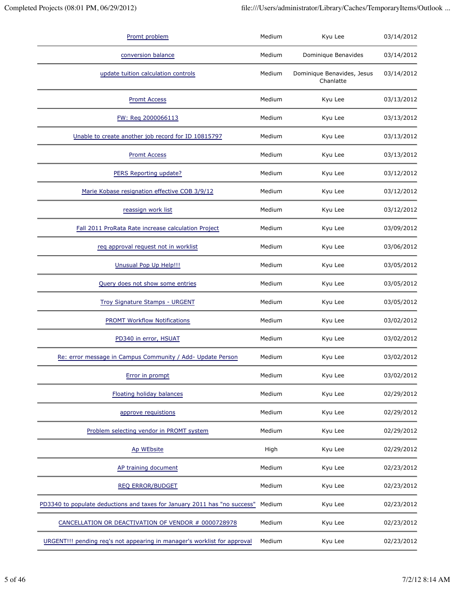| Promt problem                                                             | Medium | Kyu Lee                                 | 03/14/2012 |
|---------------------------------------------------------------------------|--------|-----------------------------------------|------------|
| conversion balance                                                        | Medium | Dominique Benavides                     | 03/14/2012 |
| update tuition calculation controls                                       | Medium | Dominique Benavides, Jesus<br>Chanlatte | 03/14/2012 |
| <b>Promt Access</b>                                                       | Medium | Kyu Lee                                 | 03/13/2012 |
| FW: Reg 2000066113                                                        | Medium | Kyu Lee                                 | 03/13/2012 |
| Unable to create another job record for ID 10815797                       | Medium | Kyu Lee                                 | 03/13/2012 |
| <b>Promt Access</b>                                                       | Medium | Kyu Lee                                 | 03/13/2012 |
| PERS Reporting update?                                                    | Medium | Kyu Lee                                 | 03/12/2012 |
| Marie Kobase resignation effective COB 3/9/12                             | Medium | Kyu Lee                                 | 03/12/2012 |
| reassign work list                                                        | Medium | Kyu Lee                                 | 03/12/2012 |
| Fall 2011 ProRata Rate increase calculation Project                       | Medium | Kyu Lee                                 | 03/09/2012 |
| req approval request not in worklist                                      | Medium | Kyu Lee                                 | 03/06/2012 |
| Unusual Pop Up Help!!!                                                    | Medium | Kyu Lee                                 | 03/05/2012 |
| Query does not show some entries                                          | Medium | Kyu Lee                                 | 03/05/2012 |
| Troy Signature Stamps - URGENT                                            | Medium | Kyu Lee                                 | 03/05/2012 |
| <b>PROMT Workflow Notifications</b>                                       | Medium | Kyu Lee                                 | 03/02/2012 |
| PD340 in error, HSUAT                                                     | Medium | Kyu Lee                                 | 03/02/2012 |
| Re: error message in Campus Community / Add- Update Person                | Medium | Kyu Lee                                 | 03/02/2012 |
| Error in prompt                                                           | Medium | Kyu Lee                                 | 03/02/2012 |
| Floating holiday balances                                                 | Medium | Kyu Lee                                 | 02/29/2012 |
| approve requistions                                                       | Medium | Kyu Lee                                 | 02/29/2012 |
| Problem selecting vendor in PROMT system                                  | Medium | Kyu Lee                                 | 02/29/2012 |
| Ap WEbsite                                                                | High   | Kyu Lee                                 | 02/29/2012 |
| AP training document                                                      | Medium | Kyu Lee                                 | 02/23/2012 |
| <b>REQ ERROR/BUDGET</b>                                                   | Medium | Kyu Lee                                 | 02/23/2012 |
| PD3340 to populate deductions and taxes for January 2011 has "no success" | Medium | Kyu Lee                                 | 02/23/2012 |
| CANCELLATION OR DEACTIVATION OF VENDOR # 0000728978                       | Medium | Kyu Lee                                 | 02/23/2012 |
| URGENT!!! pending req's not appearing in manager's worklist for approval  | Medium | Kyu Lee                                 | 02/23/2012 |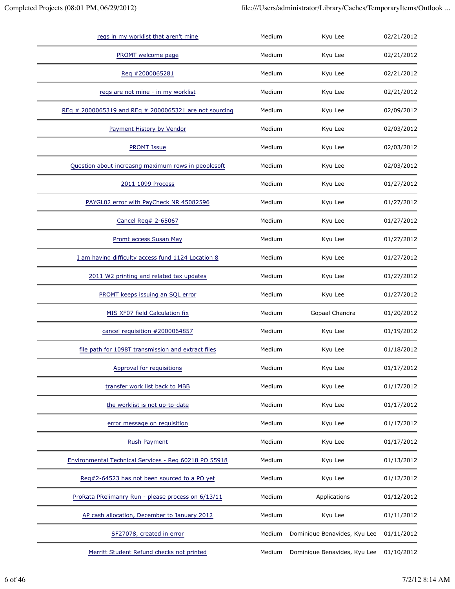| regs in my worklist that aren't mine                   | Medium | Kyu Lee                      | 02/21/2012 |
|--------------------------------------------------------|--------|------------------------------|------------|
| PROMT welcome page                                     | Medium | Kyu Lee                      | 02/21/2012 |
| Req #2000065281                                        | Medium | Kyu Lee                      | 02/21/2012 |
| reqs are not mine - in my worklist                     | Medium | Kyu Lee                      | 02/21/2012 |
| REq # 2000065319 and REq # 2000065321 are not sourcing | Medium | Kyu Lee                      | 02/09/2012 |
| Payment History by Vendor                              | Medium | Kyu Lee                      | 02/03/2012 |
| <b>PROMT Issue</b>                                     | Medium | Kyu Lee                      | 02/03/2012 |
| Question about increasng maximum rows in peoplesoft    | Medium | Kyu Lee                      | 02/03/2012 |
| 2011 1099 Process                                      | Medium | Kyu Lee                      | 01/27/2012 |
| PAYGL02 error with PayCheck NR 45082596                | Medium | Kyu Lee                      | 01/27/2012 |
| Cancel Req# 2-65067                                    | Medium | Kyu Lee                      | 01/27/2012 |
| Promt access Susan May                                 | Medium | Kyu Lee                      | 01/27/2012 |
| I am having difficulty access fund 1124 Location 8     | Medium | Kyu Lee                      | 01/27/2012 |
| 2011 W2 printing and related tax updates               | Medium | Kyu Lee                      | 01/27/2012 |
| PROMT keeps issuing an SQL error                       | Medium | Kyu Lee                      | 01/27/2012 |
| MIS XF07 field Calculation fix                         | Medium | Gopaal Chandra               | 01/20/2012 |
| cancel requisition #2000064857                         | Medium | Kyu Lee                      | 01/19/2012 |
| file path for 1098T transmission and extract files     | Medium | Kyu Lee                      | 01/18/2012 |
| <b>Approval for requisitions</b>                       | Medium | Kyu Lee                      | 01/17/2012 |
| transfer work list back to MBB                         | Medium | Kyu Lee                      | 01/17/2012 |
| the worklist is not up-to-date                         | Medium | Kyu Lee                      | 01/17/2012 |
| error message on requisition                           | Medium | Kyu Lee                      | 01/17/2012 |
| <b>Rush Payment</b>                                    | Medium | Kyu Lee                      | 01/17/2012 |
| Environmental Technical Services - Req 60218 PO 55918  | Medium | Kyu Lee                      | 01/13/2012 |
| Req#2-64523 has not been sourced to a PO yet           | Medium | Kyu Lee                      | 01/12/2012 |
| ProRata PRelimanry Run - please process on 6/13/11     | Medium | Applications                 | 01/12/2012 |
| AP cash allocation, December to January 2012           | Medium | Kyu Lee                      | 01/11/2012 |
| SF27078, created in error                              | Medium | Dominique Benavides, Kyu Lee | 01/11/2012 |
| Merritt Student Refund checks not printed              | Medium | Dominique Benavides, Kyu Lee | 01/10/2012 |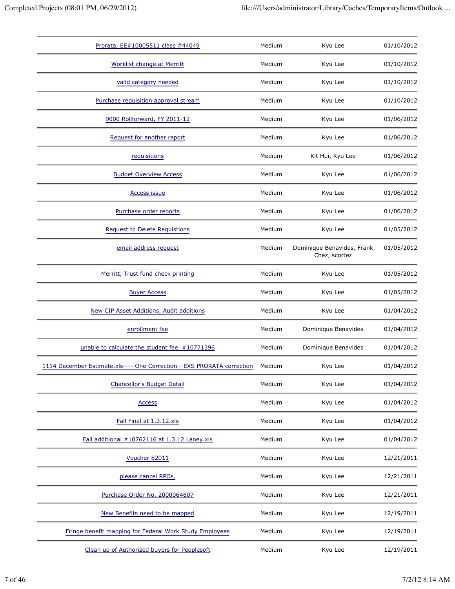| Prorata, EE#10005511 class #44049                                      | Medium | Kyu Lee                                     | 01/10/2012 |
|------------------------------------------------------------------------|--------|---------------------------------------------|------------|
| Worklist change at Merritt                                             | Medium | Kyu Lee                                     | 01/10/2012 |
| valid category needed                                                  | Medium | Kyu Lee                                     | 01/10/2012 |
| Purchase requisition approval stream                                   | Medium | Kyu Lee                                     | 01/10/2012 |
| 9000 Rollforward, FY 2011-12                                           | Medium | Kyu Lee                                     | 01/06/2012 |
| Request for another report                                             | Medium | Kyu Lee                                     | 01/06/2012 |
| requisitions                                                           | Medium | Kit Hui, Kyu Lee                            | 01/06/2012 |
| <b>Budget Overview Access</b>                                          | Medium | Kyu Lee                                     | 01/06/2012 |
| <b>Access issue</b>                                                    | Medium | Kyu Lee                                     | 01/06/2012 |
| Purchase order reports                                                 | Medium | Kyu Lee                                     | 01/06/2012 |
| <b>Request to Delete Requistions</b>                                   | Medium | Kyu Lee                                     | 01/05/2012 |
| email address request                                                  | Medium | Dominique Benavides, Frank<br>Chez, scortez | 01/05/2012 |
| Merritt, Trust fund check printing                                     | Medium | Kyu Lee                                     | 01/05/2012 |
| <b>Buyer Access</b>                                                    | Medium | Kyu Lee                                     | 01/05/2012 |
| New CIP Asset Additions, Audit additions                               | Medium | Kyu Lee                                     | 01/04/2012 |
| enrollment fee                                                         | Medium | Dominique Benavides                         | 01/04/2012 |
| unable to calculate the student fee. #10771396                         | Medium | Dominique Benavides                         | 01/04/2012 |
| 1114 December Estimate.xls---- One Correction - EXS PRORATA correction | Medium | Kyu Lee                                     | 01/04/2012 |
| Chancellor's Budget Detail                                             | Medium | Kyu Lee                                     | 01/04/2012 |
| <b>Access</b>                                                          | Medium | Kyu Lee                                     | 01/04/2012 |
| Fall Final at 1.3.12.xls                                               | Medium | Kyu Lee                                     | 01/04/2012 |
| Fall additional #10762116 at 1.3.12 Laney.xls                          | Medium | Kyu Lee                                     | 01/04/2012 |
| Voucher 82011                                                          | Medium | Kyu Lee                                     | 12/21/2011 |
| please cancel RPOs.                                                    | Medium | Kyu Lee                                     | 12/21/2011 |
| Purchase Order No. 2000064607                                          | Medium | Kyu Lee                                     | 12/21/2011 |
| New Benefits need to be mapped                                         | Medium | Kyu Lee                                     | 12/19/2011 |
| Fringe benefit mapping for Federal Work Study Employees                | Medium | Kyu Lee                                     | 12/19/2011 |
| Clean up of Authorized buyers for Peoplesoft                           | Medium | Kyu Lee                                     | 12/19/2011 |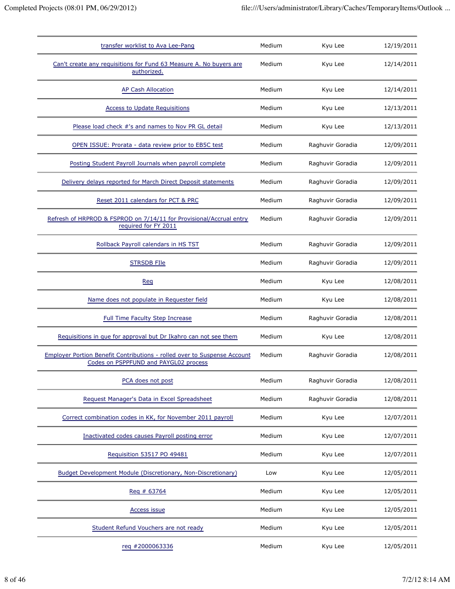| transfer worklist to Ava Lee-Pang                                                                                        | Medium | Kyu Lee          | 12/19/2011 |
|--------------------------------------------------------------------------------------------------------------------------|--------|------------------|------------|
| Can't create any requisitions for Fund 63 Measure A. No buyers are<br>authorized.                                        | Medium | Kyu Lee          | 12/14/2011 |
| <b>AP Cash Allocation</b>                                                                                                | Medium | Kyu Lee          | 12/14/2011 |
| <b>Access to Update Requisitions</b>                                                                                     | Medium | Kyu Lee          | 12/13/2011 |
| Please load check #'s and names to Nov PR GL detail                                                                      | Medium | Kyu Lee          | 12/13/2011 |
| OPEN ISSUE: Prorata - data review prior to EB5C test                                                                     | Medium | Raghuvir Goradia | 12/09/2011 |
| Posting Student Payroll Journals when payroll complete                                                                   | Medium | Raghuvir Goradia | 12/09/2011 |
| Delivery delays reported for March Direct Deposit statements                                                             | Medium | Raghuvir Goradia | 12/09/2011 |
| Reset 2011 calendars for PCT & PRC                                                                                       | Medium | Raghuvir Goradia | 12/09/2011 |
| Refresh of HRPROD & FSPROD on 7/14/11 for Provisional/Accrual entry<br>required for FY 2011                              | Medium | Raghuvir Goradia | 12/09/2011 |
| Rollback Payroll calendars in HS TST                                                                                     | Medium | Raghuvir Goradia | 12/09/2011 |
| <b>STRSDB FIle</b>                                                                                                       | Medium | Raghuvir Goradia | 12/09/2011 |
| Req                                                                                                                      | Medium | Kyu Lee          | 12/08/2011 |
| Name does not populate in Requester field                                                                                | Medium | Kyu Lee          | 12/08/2011 |
| Full Time Faculty Step Increase                                                                                          | Medium | Raghuvir Goradia | 12/08/2011 |
| Requisitions in que for approval but Dr Ikahro can not see them                                                          | Medium | Kyu Lee          | 12/08/2011 |
| <b>Employer Portion Benefit Contributions - rolled over to Suspense Account</b><br>Codes on PSPPFUND and PAYGL02 process | Medium | Raghuvir Goradia | 12/08/2011 |
| PCA does not post                                                                                                        | Medium | Raghuvir Goradia | 12/08/2011 |
| Request Manager's Data in Excel Spreadsheet                                                                              | Medium | Raghuvir Goradia | 12/08/2011 |
| Correct combination codes in KK, for November 2011 payroll                                                               | Medium | Kyu Lee          | 12/07/2011 |
| Inactivated codes causes Payroll posting error                                                                           | Medium | Kyu Lee          | 12/07/2011 |
| Requisition 53517 PO 49481                                                                                               | Medium | Kyu Lee          | 12/07/2011 |
| Budget Development Module (Discretionary, Non-Discretionary)                                                             | Low    | Kyu Lee          | 12/05/2011 |
| Reg # 63764                                                                                                              | Medium | Kyu Lee          | 12/05/2011 |
| <b>Access issue</b>                                                                                                      | Medium | Kyu Lee          | 12/05/2011 |
| Student Refund Vouchers are not ready                                                                                    | Medium | Kyu Lee          | 12/05/2011 |
| req #2000063336                                                                                                          | Medium | Kyu Lee          | 12/05/2011 |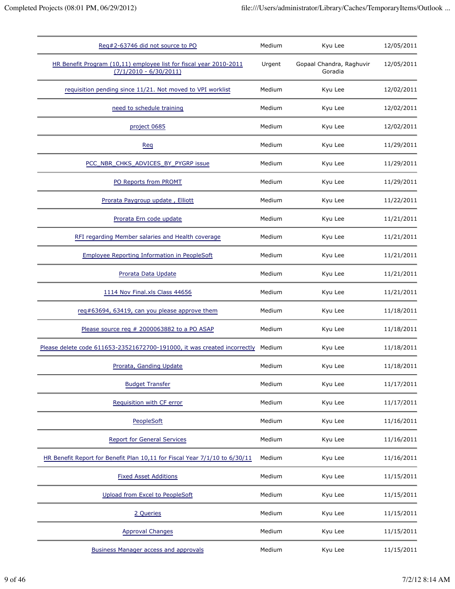| Reg#2-63746 did not source to PO                                                               | Medium | Kyu Lee                             | 12/05/2011 |
|------------------------------------------------------------------------------------------------|--------|-------------------------------------|------------|
| HR Benefit Program (10,11) employee list for fiscal year 2010-2011<br>$(7/1/2010 - 6/30/2011)$ | Urgent | Gopaal Chandra, Raghuvir<br>Goradia | 12/05/2011 |
| requisition pending since 11/21. Not moved to VPI worklist                                     | Medium | Kyu Lee                             | 12/02/2011 |
| need to schedule training                                                                      | Medium | Kyu Lee                             | 12/02/2011 |
| project 0685                                                                                   | Medium | Kyu Lee                             | 12/02/2011 |
| <u>Req</u>                                                                                     | Medium | Kyu Lee                             | 11/29/2011 |
| PCC_NBR_CHKS_ADVICES_BY_PYGRP issue                                                            | Medium | Kyu Lee                             | 11/29/2011 |
| PO Reports from PROMT                                                                          | Medium | Kyu Lee                             | 11/29/2011 |
| Prorata Paygroup update, Elliott                                                               | Medium | Kyu Lee                             | 11/22/2011 |
| Prorata Ern code update                                                                        | Medium | Kyu Lee                             | 11/21/2011 |
| RFI regarding Member salaries and Health coverage                                              | Medium | Kyu Lee                             | 11/21/2011 |
| <b>Employee Reporting Information in PeopleSoft</b>                                            | Medium | Kyu Lee                             | 11/21/2011 |
| Prorata Data Update                                                                            | Medium | Kyu Lee                             | 11/21/2011 |
| 1114 Nov Final.xls Class 44656                                                                 | Medium | Kyu Lee                             | 11/21/2011 |
| req#63694, 63419, can you please approve them                                                  | Medium | Kyu Lee                             | 11/18/2011 |
| Please source req # 2000063882 to a PO ASAP                                                    | Medium | Kyu Lee                             | 11/18/2011 |
| Please delete code 611653-23521672700-191000, it was created incorrectly                       | Medium | Kyu Lee                             | 11/18/2011 |
| Prorata, Ganding Update                                                                        | Medium | Kyu Lee                             | 11/18/2011 |
| <b>Budget Transfer</b>                                                                         | Medium | Kyu Lee                             | 11/17/2011 |
| Requisition with CF error                                                                      | Medium | Kyu Lee                             | 11/17/2011 |
| PeopleSoft                                                                                     | Medium | Kyu Lee                             | 11/16/2011 |
| <b>Report for General Services</b>                                                             | Medium | Kyu Lee                             | 11/16/2011 |
| HR Benefit Report for Benefit Plan 10,11 for Fiscal Year 7/1/10 to 6/30/11                     | Medium | Kyu Lee                             | 11/16/2011 |
| <b>Fixed Asset Additions</b>                                                                   | Medium | Kyu Lee                             | 11/15/2011 |
| Upload from Excel to PeopleSoft                                                                | Medium | Kyu Lee                             | 11/15/2011 |
| 2 Queries                                                                                      | Medium | Kyu Lee                             | 11/15/2011 |
| <b>Approval Changes</b>                                                                        | Medium | Kyu Lee                             | 11/15/2011 |
| <b>Business Manager access and approvals</b>                                                   | Medium | Kyu Lee                             | 11/15/2011 |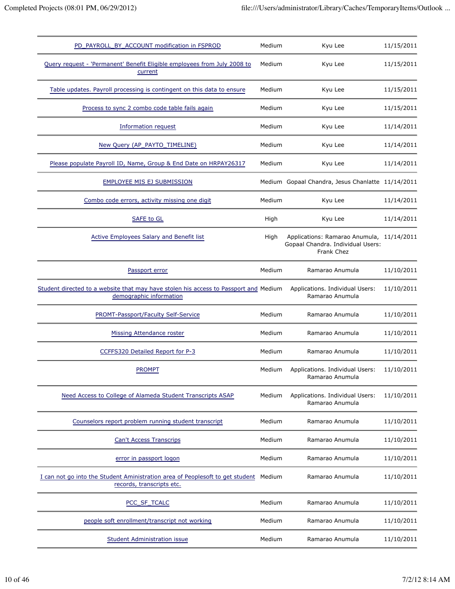| PD_PAYROLL_BY_ACCOUNT modification in FSPROD                                                                    | Medium | Kyu Lee                                                                                      | 11/15/2011 |
|-----------------------------------------------------------------------------------------------------------------|--------|----------------------------------------------------------------------------------------------|------------|
| Query request - 'Permanent' Benefit Eligible employees from July 2008 to<br>current                             | Medium | Kyu Lee                                                                                      | 11/15/2011 |
| Table updates. Payroll processing is contingent on this data to ensure                                          | Medium | Kyu Lee                                                                                      | 11/15/2011 |
| Process to sync 2 combo code table fails again                                                                  | Medium | Kyu Lee                                                                                      | 11/15/2011 |
| Information request                                                                                             | Medium | Kyu Lee                                                                                      | 11/14/2011 |
| New Query (AP_PAYTO_TIMELINE)                                                                                   | Medium | Kyu Lee                                                                                      | 11/14/2011 |
| Please populate Payroll ID, Name, Group & End Date on HRPAY26317                                                | Medium | Kyu Lee                                                                                      | 11/14/2011 |
| EMPLOYEE MIS EJ SUBMISSION                                                                                      |        | Medium Gopaal Chandra, Jesus Chanlatte 11/14/2011                                            |            |
| Combo code errors, activity missing one digit                                                                   | Medium | Kyu Lee                                                                                      | 11/14/2011 |
| <b>SAFE to GL</b>                                                                                               | High   | Kyu Lee                                                                                      | 11/14/2011 |
| Active Employees Salary and Benefit list                                                                        | High   | Applications: Ramarao Anumula, 11/14/2011<br>Gopaal Chandra. Individual Users:<br>Frank Chez |            |
| Passport error                                                                                                  | Medium | Ramarao Anumula                                                                              | 11/10/2011 |
| Student directed to a website that may have stolen his access to Passport and Medium<br>demographic information |        | Applications. Individual Users:<br>Ramarao Anumula                                           | 11/10/2011 |
| <b>PROMT-Passport/Faculty Self-Service</b>                                                                      | Medium | Ramarao Anumula                                                                              | 11/10/2011 |
| Missing Attendance roster                                                                                       | Medium | Ramarao Anumula                                                                              | 11/10/2011 |
| CCFFS320 Detailed Report for P-3                                                                                | Medium | Ramarao Anumula                                                                              | 11/10/2011 |
| <b>PROMPT</b>                                                                                                   | Medium | Applications. Individual Users:<br>Ramarao Anumula                                           | 11/10/2011 |
| Need Access to College of Alameda Student Transcripts ASAP                                                      | Medium | Applications. Individual Users:<br>Ramarao Anumula                                           | 11/10/2011 |
| Counselors report problem running student transcript                                                            | Medium | Ramarao Anumula                                                                              | 11/10/2011 |
| <b>Can't Access Transcrips</b>                                                                                  | Medium | Ramarao Anumula                                                                              | 11/10/2011 |
| error in passport logon                                                                                         | Medium | Ramarao Anumula                                                                              | 11/10/2011 |
| I can not go into the Student Aministration area of Peoplesoft to get student<br>records, transcripts etc.      | Medium | Ramarao Anumula                                                                              | 11/10/2011 |
| PCC_SF_TCALC                                                                                                    | Medium | Ramarao Anumula                                                                              | 11/10/2011 |
| people soft enrollment/transcript not working                                                                   | Medium | Ramarao Anumula                                                                              | 11/10/2011 |
| <b>Student Administration issue</b>                                                                             | Medium | Ramarao Anumula                                                                              | 11/10/2011 |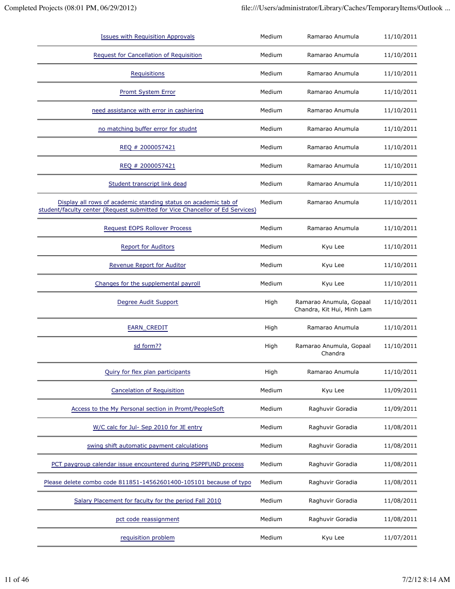| <b>Issues with Requisition Approvals</b>                                                                                                         | Medium | Ramarao Anumula                                       | 11/10/2011 |
|--------------------------------------------------------------------------------------------------------------------------------------------------|--------|-------------------------------------------------------|------------|
| <b>Request for Cancellation of Requisition</b>                                                                                                   | Medium | Ramarao Anumula                                       | 11/10/2011 |
| Requisitions                                                                                                                                     | Medium | Ramarao Anumula                                       | 11/10/2011 |
| <b>Promt System Error</b>                                                                                                                        | Medium | Ramarao Anumula                                       | 11/10/2011 |
| need assistance with error in cashiering                                                                                                         | Medium | Ramarao Anumula                                       | 11/10/2011 |
| no matching buffer error for studnt                                                                                                              | Medium | Ramarao Anumula                                       | 11/10/2011 |
| REQ # 2000057421                                                                                                                                 | Medium | Ramarao Anumula                                       | 11/10/2011 |
| REQ # 2000057421                                                                                                                                 | Medium | Ramarao Anumula                                       | 11/10/2011 |
| Student transcript link dead                                                                                                                     | Medium | Ramarao Anumula                                       | 11/10/2011 |
| Display all rows of academic standing status on academic tab of<br>student/faculty center (Request submitted for Vice Chancellor of Ed Services) | Medium | Ramarao Anumula                                       | 11/10/2011 |
| Request EOPS Rollover Process                                                                                                                    | Medium | Ramarao Anumula                                       | 11/10/2011 |
| <b>Report for Auditors</b>                                                                                                                       | Medium | Kyu Lee                                               | 11/10/2011 |
| <b>Revenue Report for Auditor</b>                                                                                                                | Medium | Kyu Lee                                               | 11/10/2011 |
| Changes for the supplemental payroll                                                                                                             | Medium | Kyu Lee                                               | 11/10/2011 |
| Degree Audit Support                                                                                                                             | High   | Ramarao Anumula, Gopaal<br>Chandra, Kit Hui, Minh Lam | 11/10/2011 |
| EARN_CREDIT                                                                                                                                      | High   | Ramarao Anumula                                       | 11/10/2011 |
| sd form??                                                                                                                                        | High   | Ramarao Anumula, Gopaal<br>Chandra                    | 11/10/2011 |
| Quiry for flex plan participants                                                                                                                 | High   | Ramarao Anumula                                       | 11/10/2011 |
| <b>Cancelation of Requisition</b>                                                                                                                | Medium | Kyu Lee                                               | 11/09/2011 |
| Access to the My Personal section in Promt/PeopleSoft                                                                                            | Medium | Raghuvir Goradia                                      | 11/09/2011 |
| W/C calc for Jul- Sep 2010 for JE entry                                                                                                          | Medium | Raghuvir Goradia                                      | 11/08/2011 |
| swing shift automatic payment calculations                                                                                                       | Medium | Raghuvir Goradia                                      | 11/08/2011 |
| PCT paygroup calendar issue encountered during PSPPFUND process                                                                                  | Medium | Raghuvir Goradia                                      | 11/08/2011 |
| Please delete combo code 811851-14562601400-105101 because of typo                                                                               | Medium | Raghuvir Goradia                                      | 11/08/2011 |
| Salary Placement for faculty for the period Fall 2010                                                                                            | Medium | Raghuvir Goradia                                      | 11/08/2011 |
| pct code reassignment                                                                                                                            | Medium | Raghuvir Goradia                                      | 11/08/2011 |
| requisition problem                                                                                                                              | Medium | Kyu Lee                                               | 11/07/2011 |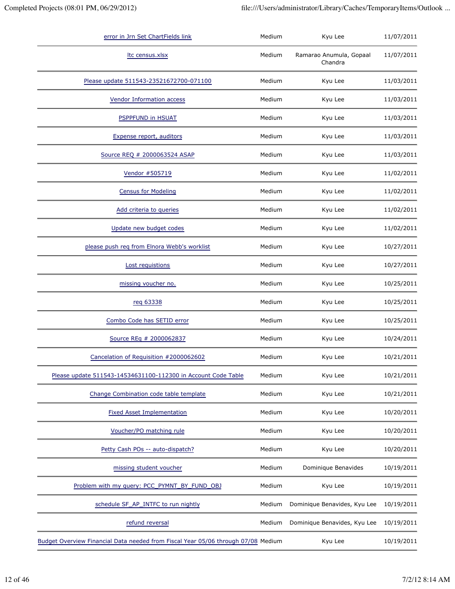| error in Jrn Set ChartFields link                                                 | Medium | Kyu Lee                            | 11/07/2011 |
|-----------------------------------------------------------------------------------|--------|------------------------------------|------------|
| Itc census.xlsx                                                                   | Medium | Ramarao Anumula, Gopaal<br>Chandra | 11/07/2011 |
| Please update 511543-23521672700-071100                                           | Medium | Kyu Lee                            | 11/03/2011 |
| <b>Vendor Information access</b>                                                  | Medium | Kyu Lee                            | 11/03/2011 |
| <b>PSPPFUND in HSUAT</b>                                                          | Medium | Kyu Lee                            | 11/03/2011 |
| Expense report, auditors                                                          | Medium | Kyu Lee                            | 11/03/2011 |
| Source REQ # 2000063524 ASAP                                                      | Medium | Kyu Lee                            | 11/03/2011 |
| Vendor #505719                                                                    | Medium | Kyu Lee                            | 11/02/2011 |
| <b>Census for Modeling</b>                                                        | Medium | Kyu Lee                            | 11/02/2011 |
| Add criteria to queries                                                           | Medium | Kyu Lee                            | 11/02/2011 |
| Update new budget codes                                                           | Medium | Kyu Lee                            | 11/02/2011 |
| please push req from Elnora Webb's worklist                                       | Medium | Kyu Lee                            | 10/27/2011 |
| Lost requistions                                                                  | Medium | Kyu Lee                            | 10/27/2011 |
| missing voucher no.                                                               | Medium | Kyu Lee                            | 10/25/2011 |
| reg 63338                                                                         | Medium | Kyu Lee                            | 10/25/2011 |
| Combo Code has SETID error                                                        | Medium | Kyu Lee                            | 10/25/2011 |
| Source REq # 2000062837                                                           | Medium | Kyu Lee                            | 10/24/2011 |
| Cancelation of Requisition #2000062602                                            | Medium | Kyu Lee                            | 10/21/2011 |
| Please update 511543-14534631100-112300 in Account Code Table                     | Medium | Kyu Lee                            | 10/21/2011 |
| Change Combination code table template                                            | Medium | Kyu Lee                            | 10/21/2011 |
| <b>Fixed Asset Implementation</b>                                                 | Medium | Kyu Lee                            | 10/20/2011 |
| Voucher/PO matching rule                                                          | Medium | Kyu Lee                            | 10/20/2011 |
| Petty Cash POs -- auto-dispatch?                                                  | Medium | Kyu Lee                            | 10/20/2011 |
| missing student voucher                                                           | Medium | Dominique Benavides                | 10/19/2011 |
| Problem with my query: PCC PYMNT BY FUND OBJ                                      | Medium | Kyu Lee                            | 10/19/2011 |
| schedule SF_AP_INTFC to run nightly                                               | Medium | Dominique Benavides, Kyu Lee       | 10/19/2011 |
| refund reversal                                                                   | Medium | Dominique Benavides, Kyu Lee       | 10/19/2011 |
| Budget Overview Financial Data needed from Fiscal Year 05/06 through 07/08 Medium |        | Kyu Lee                            | 10/19/2011 |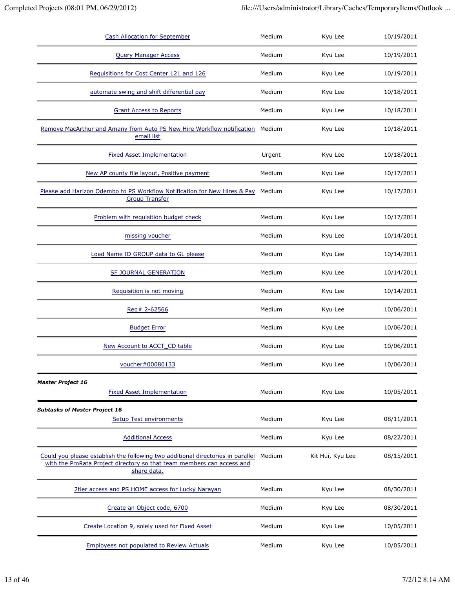| <b>Cash Allocation for September</b>                                                                                                                                     | Medium | Kyu Lee          | 10/19/2011 |
|--------------------------------------------------------------------------------------------------------------------------------------------------------------------------|--------|------------------|------------|
| <b>Query Manager Access</b>                                                                                                                                              | Medium | Kyu Lee          | 10/19/2011 |
| Requisitions for Cost Center 121 and 126                                                                                                                                 | Medium | Kyu Lee          | 10/19/2011 |
| automate swing and shift differential pay                                                                                                                                | Medium | Kyu Lee          | 10/18/2011 |
| <b>Grant Access to Reports</b>                                                                                                                                           | Medium | Kyu Lee          | 10/18/2011 |
| Remove MacArthur and Amany from Auto PS New Hire Workflow notification<br>email list                                                                                     | Medium | Kyu Lee          | 10/18/2011 |
| <b>Fixed Asset Implementation</b>                                                                                                                                        | Urgent | Kyu Lee          | 10/18/2011 |
| New AP county file layout, Positive payment                                                                                                                              | Medium | Kyu Lee          | 10/17/2011 |
| Please add Harizon Odembo to PS Workflow Notification for New Hires & Pay<br><b>Group Transfer</b>                                                                       | Medium | Kyu Lee          | 10/17/2011 |
| Problem with requisition budget check                                                                                                                                    | Medium | Kyu Lee          | 10/17/2011 |
| missing voucher                                                                                                                                                          | Medium | Kyu Lee          | 10/14/2011 |
| Load Name ID GROUP data to GL please                                                                                                                                     | Medium | Kyu Lee          | 10/14/2011 |
| SF JOURNAL GENERATION                                                                                                                                                    | Medium | Kyu Lee          | 10/14/2011 |
| Requisition is not moving                                                                                                                                                | Medium | Kyu Lee          | 10/14/2011 |
| Reg# 2-62566                                                                                                                                                             | Medium | Kyu Lee          | 10/06/2011 |
| <b>Budget Error</b>                                                                                                                                                      | Medium | Kyu Lee          | 10/06/2011 |
| New Account to ACCT CD table                                                                                                                                             | Medium | Kyu Lee          | 10/06/2011 |
| voucher#00080133                                                                                                                                                         | Medium | Kyu Lee          | 10/06/2011 |
| <b>Master Project 16</b><br><b>Fixed Asset Implementation</b>                                                                                                            | Medium | Kyu Lee          | 10/05/2011 |
| <b>Subtasks of Master Project 16</b><br><b>Setup Test environments</b>                                                                                                   | Medium | Kyu Lee          | 08/11/2011 |
| <b>Additional Access</b>                                                                                                                                                 | Medium | Kyu Lee          | 08/22/2011 |
| Could you please establish the following two additional directories in parallel<br>with the ProRata Project directory so that team members can access and<br>share data. | Medium | Kit Hui, Kyu Lee | 08/15/2011 |
| 2tier access and PS HOME access for Lucky Narayan                                                                                                                        | Medium | Kyu Lee          | 08/30/2011 |
| Create an Object code, 6700                                                                                                                                              | Medium | Kyu Lee          | 08/30/2011 |
| Create Location 9, solely used for Fixed Asset                                                                                                                           | Medium | Kyu Lee          | 10/05/2011 |
| Employees not populated to Review Actuals                                                                                                                                | Medium | Kyu Lee          | 10/05/2011 |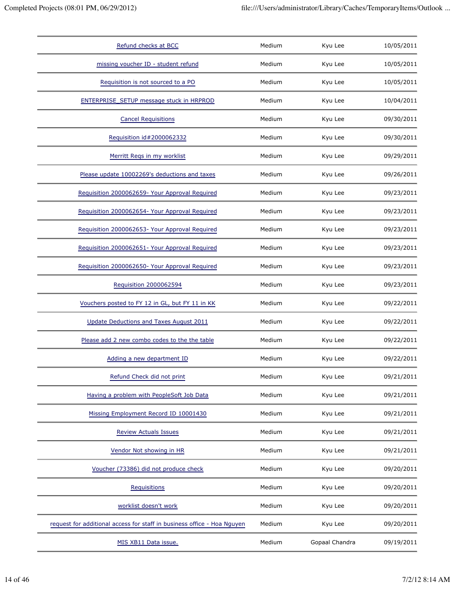| Refund checks at BCC                                                    | Medium | Kyu Lee        | 10/05/2011 |
|-------------------------------------------------------------------------|--------|----------------|------------|
| missing voucher ID - student refund                                     | Medium | Kyu Lee        | 10/05/2011 |
| Requisition is not sourced to a PO                                      | Medium | Kyu Lee        | 10/05/2011 |
| <b>ENTERPRISE SETUP message stuck in HRPROD</b>                         | Medium | Kyu Lee        | 10/04/2011 |
| <b>Cancel Requisitions</b>                                              | Medium | Kyu Lee        | 09/30/2011 |
| Requisition id#2000062332                                               | Medium | Kyu Lee        | 09/30/2011 |
| Merritt Reqs in my worklist                                             | Medium | Kyu Lee        | 09/29/2011 |
| Please update 10002269's deductions and taxes                           | Medium | Kyu Lee        | 09/26/2011 |
| Requisition 2000062659- Your Approval Required                          | Medium | Kyu Lee        | 09/23/2011 |
| Requisition 2000062654- Your Approval Required                          | Medium | Kyu Lee        | 09/23/2011 |
| Requisition 2000062653- Your Approval Required                          | Medium | Kyu Lee        | 09/23/2011 |
| Requisition 2000062651- Your Approval Required                          | Medium | Kyu Lee        | 09/23/2011 |
| Requisition 2000062650- Your Approval Required                          | Medium | Kyu Lee        | 09/23/2011 |
| Requisition 2000062594                                                  | Medium | Kyu Lee        | 09/23/2011 |
| Vouchers posted to FY 12 in GL, but FY 11 in KK                         | Medium | Kyu Lee        | 09/22/2011 |
| Update Deductions and Taxes August 2011                                 | Medium | Kyu Lee        | 09/22/2011 |
| Please add 2 new combo codes to the the table                           | Medium | Kyu Lee        | 09/22/2011 |
| Adding a new department ID                                              | Medium | Kyu Lee        | 09/22/2011 |
| Refund Check did not print                                              | Medium | Kyu Lee        | 09/21/2011 |
| Having a problem with PeopleSoft Job Data                               | Medium | Kyu Lee        | 09/21/2011 |
| Missing Employment Record ID 10001430                                   | Medium | Kyu Lee        | 09/21/2011 |
| <b>Review Actuals Issues</b>                                            | Medium | Kyu Lee        | 09/21/2011 |
| Vendor Not showing in HR                                                | Medium | Kyu Lee        | 09/21/2011 |
| Voucher (73386) did not produce check                                   | Medium | Kyu Lee        | 09/20/2011 |
| <b>Requisitions</b>                                                     | Medium | Kyu Lee        | 09/20/2011 |
| worklist doesn't work                                                   | Medium | Kyu Lee        | 09/20/2011 |
| request for additional access for staff in business office - Hoa Nguyen | Medium | Kyu Lee        | 09/20/2011 |
| MIS XB11 Data issue.                                                    | Medium | Gopaal Chandra | 09/19/2011 |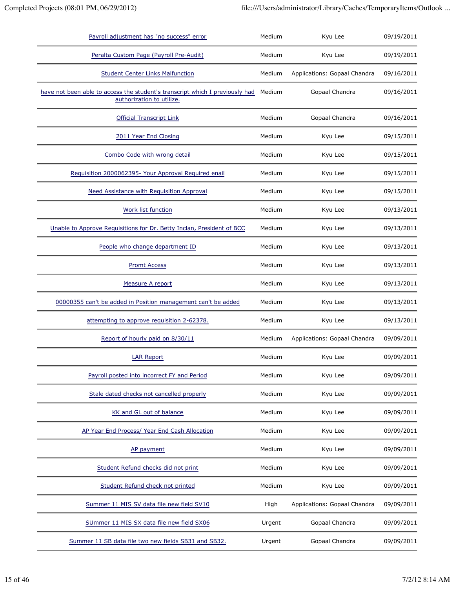| Payroll adjustment has "no success" error                                                                 | Medium | Kyu Lee                      | 09/19/2011 |
|-----------------------------------------------------------------------------------------------------------|--------|------------------------------|------------|
| Peralta Custom Page (Payroll Pre-Audit)                                                                   | Medium | Kyu Lee                      | 09/19/2011 |
| <b>Student Center Links Malfunction</b>                                                                   | Medium | Applications: Gopaal Chandra | 09/16/2011 |
| have not been able to access the student's transcript which I previously had<br>authorization to utilize. | Medium | Gopaal Chandra               | 09/16/2011 |
| <b>Official Transcript Link</b>                                                                           | Medium | Gopaal Chandra               | 09/16/2011 |
| 2011 Year End Closing                                                                                     | Medium | Kyu Lee                      | 09/15/2011 |
| Combo Code with wrong detail                                                                              | Medium | Kyu Lee                      | 09/15/2011 |
| Requisition 2000062395- Your Approval Required enail                                                      | Medium | Kyu Lee                      | 09/15/2011 |
| Need Assistance with Requisition Approval                                                                 | Medium | Kyu Lee                      | 09/15/2011 |
| Work list function                                                                                        | Medium | Kyu Lee                      | 09/13/2011 |
| Unable to Approve Requisitions for Dr. Betty Inclan, President of BCC                                     | Medium | Kyu Lee                      | 09/13/2011 |
| People who change department ID                                                                           | Medium | Kyu Lee                      | 09/13/2011 |
| <b>Promt Access</b>                                                                                       | Medium | Kyu Lee                      | 09/13/2011 |
| Measure A report                                                                                          | Medium | Kyu Lee                      | 09/13/2011 |
| 00000355 can't be added in Position management can't be added                                             | Medium | Kyu Lee                      | 09/13/2011 |
| attempting to approve requisition 2-62378.                                                                | Medium | Kyu Lee                      | 09/13/2011 |
| Report of hourly paid on 8/30/11                                                                          | Medium | Applications: Gopaal Chandra | 09/09/2011 |
| <b>LAR Report</b>                                                                                         | Medium | Kyu Lee                      | 09/09/2011 |
| Payroll posted into incorrect FY and Period                                                               | Medium | Kyu Lee                      | 09/09/2011 |
| Stale dated checks not cancelled properly                                                                 | Medium | Kyu Lee                      | 09/09/2011 |
| KK and GL out of balance                                                                                  | Medium | Kyu Lee                      | 09/09/2011 |
| AP Year End Process/ Year End Cash Allocation                                                             | Medium | Kyu Lee                      | 09/09/2011 |
| AP payment                                                                                                | Medium | Kyu Lee                      | 09/09/2011 |
| Student Refund checks did not print                                                                       | Medium | Kyu Lee                      | 09/09/2011 |
| Student Refund check not printed                                                                          | Medium | Kyu Lee                      | 09/09/2011 |
| Summer 11 MIS SV data file new field SV10                                                                 | High   | Applications: Gopaal Chandra | 09/09/2011 |
| SUmmer 11 MIS SX data file new field SX06                                                                 | Urgent | Gopaal Chandra               | 09/09/2011 |
| Summer 11 SB data file two new fields SB31 and SB32.                                                      | Urgent | Gopaal Chandra               | 09/09/2011 |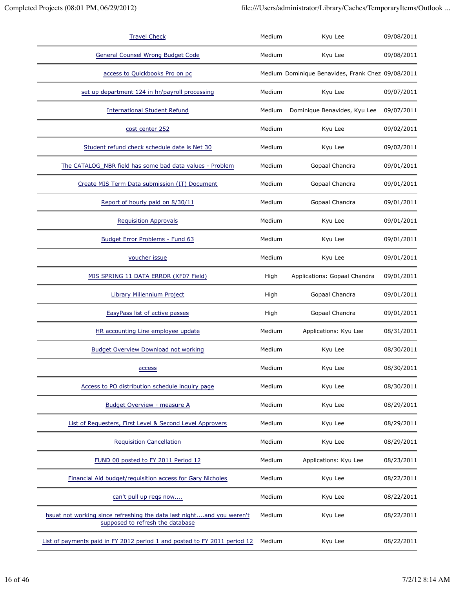| <b>Travel Check</b>                                                                                       | Medium | Kyu Lee                                           | 09/08/2011 |
|-----------------------------------------------------------------------------------------------------------|--------|---------------------------------------------------|------------|
| <b>General Counsel Wrong Budget Code</b>                                                                  | Medium | Kyu Lee                                           | 09/08/2011 |
| access to Quickbooks Pro on pc                                                                            |        | Medium Dominique Benavides, Frank Chez 09/08/2011 |            |
| set up department 124 in hr/payroll processing                                                            | Medium | Kyu Lee                                           | 09/07/2011 |
| <b>International Student Refund</b>                                                                       | Medium | Dominique Benavides, Kyu Lee                      | 09/07/2011 |
| cost center 252                                                                                           | Medium | Kyu Lee                                           | 09/02/2011 |
| Student refund check schedule date is Net 30                                                              | Medium | Kyu Lee                                           | 09/02/2011 |
| The CATALOG_NBR field has some bad data values - Problem                                                  | Medium | Gopaal Chandra                                    | 09/01/2011 |
| Create MIS Term Data submission (IT) Document                                                             | Medium | Gopaal Chandra                                    | 09/01/2011 |
| Report of hourly paid on 8/30/11                                                                          | Medium | Gopaal Chandra                                    | 09/01/2011 |
| <b>Requisition Approvals</b>                                                                              | Medium | Kyu Lee                                           | 09/01/2011 |
| Budget Error Problems - Fund 63                                                                           | Medium | Kyu Lee                                           | 09/01/2011 |
| voucher issue                                                                                             | Medium | Kyu Lee                                           | 09/01/2011 |
| MIS SPRING 11 DATA ERROR (XF07 Field)                                                                     | High   | Applications: Gopaal Chandra                      | 09/01/2011 |
| <b>Library Millennium Project</b>                                                                         | High   | Gopaal Chandra                                    | 09/01/2011 |
| EasyPass list of active passes                                                                            | High   | Gopaal Chandra                                    | 09/01/2011 |
| HR accounting Line employee update                                                                        | Medium | Applications: Kyu Lee                             | 08/31/2011 |
| Budget Overview Download not working                                                                      | Medium | Kyu Lee                                           | 08/30/2011 |
| access                                                                                                    | Medium | Kyu Lee                                           | 08/30/2011 |
| Access to PO distribution schedule inquiry page                                                           | Medium | Kyu Lee                                           | 08/30/2011 |
| Budget Overview - measure A                                                                               | Medium | Kyu Lee                                           | 08/29/2011 |
| List of Requesters, First Level & Second Level Approvers                                                  | Medium | Kyu Lee                                           | 08/29/2011 |
| <b>Requisition Cancellation</b>                                                                           | Medium | Kyu Lee                                           | 08/29/2011 |
| FUND 00 posted to FY 2011 Period 12                                                                       | Medium | Applications: Kyu Lee                             | 08/23/2011 |
| Financial Aid budget/requisition access for Gary Nicholes                                                 | Medium | Kyu Lee                                           | 08/22/2011 |
| can't pull up regs now                                                                                    | Medium | Kyu Lee                                           | 08/22/2011 |
| hsuat not working since refreshing the data last nightand you weren't<br>supposed to refresh the database | Medium | Kyu Lee                                           | 08/22/2011 |
| List of payments paid in FY 2012 period 1 and posted to FY 2011 period 12                                 | Medium | Kyu Lee                                           | 08/22/2011 |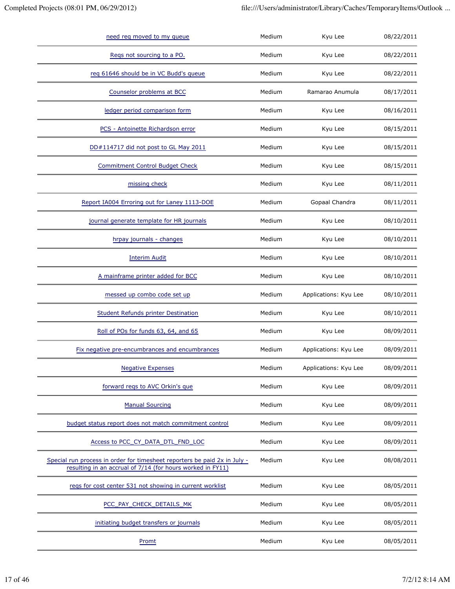| need req moved to my queue                                                                                                              | Medium | Kyu Lee               | 08/22/2011 |
|-----------------------------------------------------------------------------------------------------------------------------------------|--------|-----------------------|------------|
| Regs not sourcing to a PO.                                                                                                              | Medium | Kyu Lee               | 08/22/2011 |
| req 61646 should be in VC Budd's queue                                                                                                  | Medium | Kyu Lee               | 08/22/2011 |
| Counselor problems at BCC                                                                                                               | Medium | Ramarao Anumula       | 08/17/2011 |
| ledger period comparison form                                                                                                           | Medium | Kyu Lee               | 08/16/2011 |
| PCS - Antoinette Richardson error                                                                                                       | Medium | Kyu Lee               | 08/15/2011 |
| DD#114717 did not post to GL May 2011                                                                                                   | Medium | Kyu Lee               | 08/15/2011 |
| <b>Commitment Control Budget Check</b>                                                                                                  | Medium | Kyu Lee               | 08/15/2011 |
| missing check                                                                                                                           | Medium | Kyu Lee               | 08/11/2011 |
| Report IA004 Erroring out for Laney 1113-DOE                                                                                            | Medium | Gopaal Chandra        | 08/11/2011 |
| journal generate template for HR journals                                                                                               | Medium | Kyu Lee               | 08/10/2011 |
| hrpay journals - changes                                                                                                                | Medium | Kyu Lee               | 08/10/2011 |
| <b>Interim Audit</b>                                                                                                                    | Medium | Kyu Lee               | 08/10/2011 |
| A mainframe printer added for BCC                                                                                                       | Medium | Kyu Lee               | 08/10/2011 |
| messed up combo code set up                                                                                                             | Medium | Applications: Kyu Lee | 08/10/2011 |
| <b>Student Refunds printer Destination</b>                                                                                              | Medium | Kyu Lee               | 08/10/2011 |
| Roll of POs for funds 63, 64, and 65                                                                                                    | Medium | Kyu Lee               | 08/09/2011 |
| Fix negative pre-encumbrances and encumbrances                                                                                          | Medium | Applications: Kyu Lee | 08/09/2011 |
| <b>Negative Expenses</b>                                                                                                                | Medium | Applications: Kyu Lee | 08/09/2011 |
| forward reqs to AVC Orkin's que                                                                                                         | Medium | Kyu Lee               | 08/09/2011 |
| <b>Manual Sourcing</b>                                                                                                                  | Medium | Kyu Lee               | 08/09/2011 |
| budget status report does not match commitment control                                                                                  | Medium | Kyu Lee               | 08/09/2011 |
| Access to PCC_CY_DATA_DTL_FND_LOC                                                                                                       | Medium | Kyu Lee               | 08/09/2011 |
| Special run process in order for timesheet reporters be paid 2x in July -<br>resulting in an accrual of 7/14 (for hours worked in FY11) | Medium | Kyu Lee               | 08/08/2011 |
| regs for cost center 531 not showing in current worklist                                                                                | Medium | Kyu Lee               | 08/05/2011 |
| PCC_PAY_CHECK_DETAILS_MK                                                                                                                | Medium | Kyu Lee               | 08/05/2011 |
| initiating budget transfers or journals                                                                                                 | Medium | Kyu Lee               | 08/05/2011 |
| Promt                                                                                                                                   | Medium | Kyu Lee               | 08/05/2011 |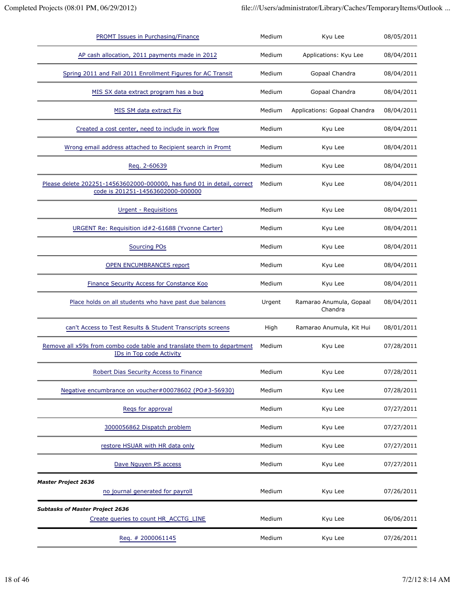| <b>PROMT Issues in Purchasing/Finance</b>                                                                    | Medium | Kyu Lee                            | 08/05/2011 |
|--------------------------------------------------------------------------------------------------------------|--------|------------------------------------|------------|
| AP cash allocation, 2011 payments made in 2012                                                               | Medium | Applications: Kyu Lee              | 08/04/2011 |
| Spring 2011 and Fall 2011 Enrollment Figures for AC Transit                                                  | Medium | Gopaal Chandra                     | 08/04/2011 |
| MIS SX data extract program has a bug                                                                        | Medium | Gopaal Chandra                     | 08/04/2011 |
| MIS SM data extract Fix                                                                                      | Medium | Applications: Gopaal Chandra       | 08/04/2011 |
| Created a cost center, need to include in work flow                                                          | Medium | Kyu Lee                            | 08/04/2011 |
| Wrong email address attached to Recipient search in Promt                                                    | Medium | Kyu Lee                            | 08/04/2011 |
| Req. 2-60639                                                                                                 | Medium | Kyu Lee                            | 08/04/2011 |
| Please delete 202251-14563602000-000000, has fund 01 in detail, correct<br>code is 201251-14563602000-000000 | Medium | Kyu Lee                            | 08/04/2011 |
| <b>Urgent - Requisitions</b>                                                                                 | Medium | Kyu Lee                            | 08/04/2011 |
| URGENT Re: Requisition id#2-61688 (Yvonne Carter)                                                            | Medium | Kyu Lee                            | 08/04/2011 |
| <b>Sourcing POs</b>                                                                                          | Medium | Kyu Lee                            | 08/04/2011 |
| <b>OPEN ENCUMBRANCES report</b>                                                                              | Medium | Kyu Lee                            | 08/04/2011 |
| Finance Security Access for Constance Koo                                                                    | Medium | Kyu Lee                            | 08/04/2011 |
| Place holds on all students who have past due balances                                                       | Urgent | Ramarao Anumula, Gopaal<br>Chandra | 08/04/2011 |
| can't Access to Test Results & Student Transcripts screens                                                   | High   | Ramarao Anumula, Kit Hui           | 08/01/2011 |
| Remove all x59s from combo code table and translate them to department<br>IDs in Top code Activity           | Medium | Kyu Lee                            | 07/28/2011 |
| Robert Dias Security Access to Finance                                                                       | Medium | Kyu Lee                            | 07/28/2011 |
| Negative encumbrance on voucher#00078602 (PO#3-56930)                                                        | Medium | Kyu Lee                            | 07/28/2011 |
| Reqs for approval                                                                                            | Medium | Kyu Lee                            | 07/27/2011 |
| 3000056862 Dispatch problem                                                                                  | Medium | Kyu Lee                            | 07/27/2011 |
| restore HSUAR with HR data only                                                                              | Medium | Kyu Lee                            | 07/27/2011 |
| Dave Nguyen PS access                                                                                        | Medium | Kyu Lee                            | 07/27/2011 |
| <b>Master Project 2636</b><br>no journal generated for payroll                                               | Medium | Kyu Lee                            | 07/26/2011 |
| <b>Subtasks of Master Project 2636</b><br>Create queries to count HR_ACCTG_LINE                              | Medium | Kyu Lee                            | 06/06/2011 |
| Req. # 2000061145                                                                                            | Medium | Kyu Lee                            | 07/26/2011 |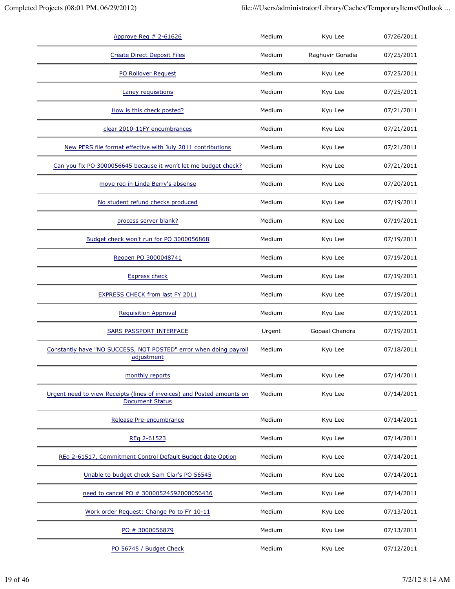| Approve Reg # 2-61626                                                                            | Medium | Kyu Lee          | 07/26/2011 |
|--------------------------------------------------------------------------------------------------|--------|------------------|------------|
| <b>Create Direct Deposit Files</b>                                                               | Medium | Raghuvir Goradia | 07/25/2011 |
| PO Rollover Request                                                                              | Medium | Kyu Lee          | 07/25/2011 |
| Laney requisitions                                                                               | Medium | Kyu Lee          | 07/25/2011 |
| How is this check posted?                                                                        | Medium | Kyu Lee          | 07/21/2011 |
| clear 2010-11FY encumbrances                                                                     | Medium | Kyu Lee          | 07/21/2011 |
| New PERS file format effective with July 2011 contributions                                      | Medium | Kyu Lee          | 07/21/2011 |
| Can you fix PO 3000056645 because it won't let me budget check?                                  | Medium | Kyu Lee          | 07/21/2011 |
| move req in Linda Berry's absense                                                                | Medium | Kyu Lee          | 07/20/2011 |
| No student refund checks produced                                                                | Medium | Kyu Lee          | 07/19/2011 |
| process server blank?                                                                            | Medium | Kyu Lee          | 07/19/2011 |
| Budget check won't run for PO 3000056868                                                         | Medium | Kyu Lee          | 07/19/2011 |
| Reopen PO 3000048741                                                                             | Medium | Kyu Lee          | 07/19/2011 |
| <b>Express check</b>                                                                             | Medium | Kyu Lee          | 07/19/2011 |
| EXPRESS CHECK from last FY 2011                                                                  | Medium | Kyu Lee          | 07/19/2011 |
| <b>Requisition Approval</b>                                                                      | Medium | Kyu Lee          | 07/19/2011 |
| <b>SARS PASSPORT INTERFACE</b>                                                                   | Urgent | Gopaal Chandra   | 07/19/2011 |
| Constantly have "NO SUCCESS, NOT POSTED" error when doing payroll<br>adjustment                  | Medium | Kyu Lee          | 07/18/2011 |
| monthly reports                                                                                  | Medium | Kyu Lee          | 07/14/2011 |
| Urgent need to view Receipts (lines of invoices) and Posted amounts on<br><b>Document Status</b> | Medium | Kyu Lee          | 07/14/2011 |
| Release Pre-encumbrance                                                                          | Medium | Kyu Lee          | 07/14/2011 |
| REg 2-61523                                                                                      | Medium | Kyu Lee          | 07/14/2011 |
| REq 2-61517, Commitment Control Default Budget date Option                                       | Medium | Kyu Lee          | 07/14/2011 |
| Unable to budget check Sam Clar's PO 56545                                                       | Medium | Kyu Lee          | 07/14/2011 |
| need to cancel PO # 30000524592000056436                                                         | Medium | Kyu Lee          | 07/14/2011 |
| Work order Request: Change Po to FY 10-11                                                        | Medium | Kyu Lee          | 07/13/2011 |
| PO # 3000056879                                                                                  | Medium | Kyu Lee          | 07/13/2011 |
| PO 56745 / Budget Check                                                                          | Medium | Kyu Lee          | 07/12/2011 |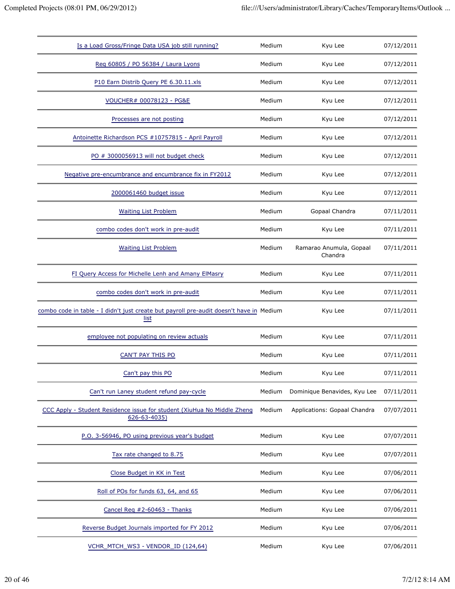| Is a Load Gross/Fringe Data USA job still running?                                              | Medium | Kyu Lee                            | 07/12/2011 |
|-------------------------------------------------------------------------------------------------|--------|------------------------------------|------------|
| Req 60805 / PO 56384 / Laura Lyons                                                              | Medium | Kyu Lee                            | 07/12/2011 |
| P10 Earn Distrib Query PE 6.30.11.xls                                                           | Medium | Kyu Lee                            | 07/12/2011 |
| VOUCHER# 00078123 - PG&E                                                                        | Medium | Kyu Lee                            | 07/12/2011 |
| Processes are not posting                                                                       | Medium | Kyu Lee                            | 07/12/2011 |
| Antoinette Richardson PCS #10757815 - April Payroll                                             | Medium | Kyu Lee                            | 07/12/2011 |
| PO # 3000056913 will not budget check                                                           | Medium | Kyu Lee                            | 07/12/2011 |
| Negative pre-encumbrance and encumbrance fix in FY2012                                          | Medium | Kyu Lee                            | 07/12/2011 |
| 2000061460 budget issue                                                                         | Medium | Kyu Lee                            | 07/12/2011 |
| <b>Waiting List Problem</b>                                                                     | Medium | Gopaal Chandra                     | 07/11/2011 |
| combo codes don't work in pre-audit                                                             | Medium | Kyu Lee                            | 07/11/2011 |
| <b>Waiting List Problem</b>                                                                     | Medium | Ramarao Anumula, Gopaal<br>Chandra | 07/11/2011 |
| FI Query Access for Michelle Lenh and Amany ElMasry                                             | Medium | Kyu Lee                            | 07/11/2011 |
| combo codes don't work in pre-audit                                                             | Medium | Kyu Lee                            | 07/11/2011 |
| combo code in table - I didn't just create but payroll pre-audit doesn't have in Medium<br>list |        | Kyu Lee                            | 07/11/2011 |
| employee not populating on review actuals                                                       | Medium | Kyu Lee                            | 07/11/2011 |
| <b>CAN'T PAY THIS PO</b>                                                                        | Medium | Kyu Lee                            | 07/11/2011 |
| Can't pay this PO                                                                               | Medium | Kyu Lee                            | 07/11/2011 |
| Can't run Laney student refund pay-cycle                                                        | Medium | Dominique Benavides, Kyu Lee       | 07/11/2011 |
| CCC Apply - Student Residence issue for student (XiuHua No Middle Zheng<br>626-63-4035)         | Medium | Applications: Gopaal Chandra       | 07/07/2011 |
| P.O. 3-56946, PO using previous year's budget                                                   | Medium | Kyu Lee                            | 07/07/2011 |
| Tax rate changed to 8.75                                                                        | Medium | Kyu Lee                            | 07/07/2011 |
| Close Budget in KK in Test                                                                      | Medium | Kyu Lee                            | 07/06/2011 |
| Roll of POs for funds 63, 64, and 65                                                            | Medium | Kyu Lee                            | 07/06/2011 |
| Cancel Req #2-60463 - Thanks                                                                    | Medium | Kyu Lee                            | 07/06/2011 |
| Reverse Budget Journals imported for FY 2012                                                    | Medium | Kyu Lee                            | 07/06/2011 |
| VCHR_MTCH_WS3 - VENDOR_ID (124,64)                                                              | Medium | Kyu Lee                            | 07/06/2011 |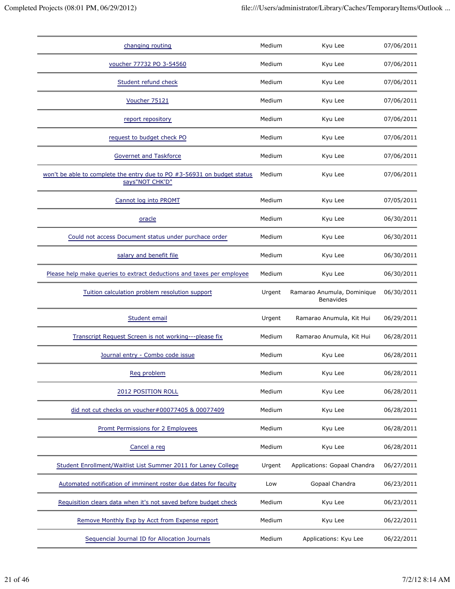| changing routing                                                                           | Medium | Kyu Lee                                        | 07/06/2011 |
|--------------------------------------------------------------------------------------------|--------|------------------------------------------------|------------|
| voucher 77732 PO 3-54560                                                                   | Medium | Kyu Lee                                        | 07/06/2011 |
| Student refund check                                                                       | Medium | Kyu Lee                                        | 07/06/2011 |
| Voucher 75121                                                                              | Medium | Kyu Lee                                        | 07/06/2011 |
| report repository                                                                          | Medium | Kyu Lee                                        | 07/06/2011 |
| request to budget check PO                                                                 | Medium | Kyu Lee                                        | 07/06/2011 |
| Governet and Taskforce                                                                     | Medium | Kyu Lee                                        | 07/06/2011 |
| won't be able to complete the entry due to PO #3-56931 on budget status<br>says"NOT CHK'D" | Medium | Kyu Lee                                        | 07/06/2011 |
| Cannot log into PROMT                                                                      | Medium | Kyu Lee                                        | 07/05/2011 |
| oracle                                                                                     | Medium | Kyu Lee                                        | 06/30/2011 |
| Could not access Document status under purchace order                                      | Medium | Kyu Lee                                        | 06/30/2011 |
| salary and benefit file                                                                    | Medium | Kyu Lee                                        | 06/30/2011 |
| Please help make queries to extract deductions and taxes per employee                      | Medium | Kyu Lee                                        | 06/30/2011 |
| Tuition calculation problem resolution support                                             | Urgent | Ramarao Anumula, Dominique<br><b>Benavides</b> | 06/30/2011 |
| Student email                                                                              | Urgent | Ramarao Anumula, Kit Hui                       | 06/29/2011 |
| Transcript Request Screen is not working---please fix                                      | Medium | Ramarao Anumula, Kit Hui                       | 06/28/2011 |
| Journal entry - Combo code issue                                                           | Medium | Kyu Lee                                        | 06/28/2011 |
| Req problem                                                                                | Medium | Kyu Lee                                        | 06/28/2011 |
| 2012 POSITION ROLL                                                                         | Medium | Kyu Lee                                        | 06/28/2011 |
| did not cut checks on voucher#00077405 & 00077409                                          | Medium | Kyu Lee                                        | 06/28/2011 |
| <b>Promt Permissions for 2 Employees</b>                                                   | Medium | Kyu Lee                                        | 06/28/2011 |
| Cancel a req                                                                               | Medium | Kyu Lee                                        | 06/28/2011 |
| Student Enrollment/Waitlist List Summer 2011 for Laney College                             | Urgent | Applications: Gopaal Chandra                   | 06/27/2011 |
| Automated notification of imminent roster due dates for faculty                            | Low    | Gopaal Chandra                                 | 06/23/2011 |
| Requisition clears data when it's not saved before budget check                            | Medium | Kyu Lee                                        | 06/23/2011 |
| Remove Monthly Exp by Acct from Expense report                                             | Medium | Kyu Lee                                        | 06/22/2011 |
| Sequencial Journal ID for Allocation Journals                                              | Medium | Applications: Kyu Lee                          | 06/22/2011 |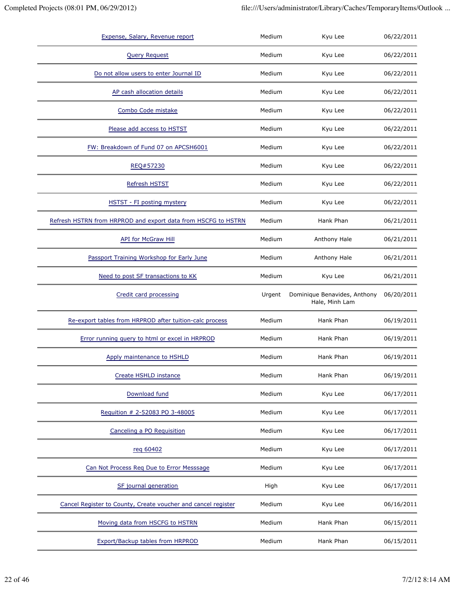| Expense, Salary, Revenue report                               | Medium | Kyu Lee                                        | 06/22/2011 |
|---------------------------------------------------------------|--------|------------------------------------------------|------------|
| <b>Query Request</b>                                          | Medium | Kyu Lee                                        | 06/22/2011 |
| Do not allow users to enter Journal ID                        | Medium | Kyu Lee                                        | 06/22/2011 |
| AP cash allocation details                                    | Medium | Kyu Lee                                        | 06/22/2011 |
| Combo Code mistake                                            | Medium | Kyu Lee                                        | 06/22/2011 |
| Please add access to HSTST                                    | Medium | Kyu Lee                                        | 06/22/2011 |
| FW: Breakdown of Fund 07 on APCSH6001                         | Medium | Kyu Lee                                        | 06/22/2011 |
| REQ#57230                                                     | Medium | Kyu Lee                                        | 06/22/2011 |
| <b>Refresh HSTST</b>                                          | Medium | Kyu Lee                                        | 06/22/2011 |
| HSTST - FI posting mystery                                    | Medium | Kyu Lee                                        | 06/22/2011 |
| Refresh HSTRN from HRPROD and export data from HSCFG to HSTRN | Medium | Hank Phan                                      | 06/21/2011 |
| API for McGraw Hill                                           | Medium | Anthony Hale                                   | 06/21/2011 |
| Passport Training Workshop for Early June                     | Medium | Anthony Hale                                   | 06/21/2011 |
| Need to post SF transactions to KK                            | Medium | Kyu Lee                                        | 06/21/2011 |
| Credit card processing                                        | Urgent | Dominique Benavides, Anthony<br>Hale, Minh Lam | 06/20/2011 |
| Re-export tables from HRPROD after tuition-calc process       | Medium | Hank Phan                                      | 06/19/2011 |
| Error running query to html or excel in HRPROD                | Medium | Hank Phan                                      | 06/19/2011 |
| <b>Apply maintenance to HSHLD</b>                             | Medium | Hank Phan                                      | 06/19/2011 |
| Create HSHLD instance                                         | Medium | Hank Phan                                      | 06/19/2011 |
| Download fund                                                 | Medium | Kyu Lee                                        | 06/17/2011 |
| Requition # 2-52083 PO 3-48005                                | Medium | Kyu Lee                                        | 06/17/2011 |
| Canceling a PO Requisition                                    | Medium | Kyu Lee                                        | 06/17/2011 |
| reg 60402                                                     | Medium | Kyu Lee                                        | 06/17/2011 |
| Can Not Process Req Due to Error Messsage                     | Medium | Kyu Lee                                        | 06/17/2011 |
| SF journal generation                                         | High   | Kyu Lee                                        | 06/17/2011 |
|                                                               |        |                                                |            |
| Cancel Register to County, Create voucher and cancel register | Medium | Kyu Lee                                        | 06/16/2011 |
| Moving data from HSCFG to HSTRN                               | Medium | Hank Phan                                      | 06/15/2011 |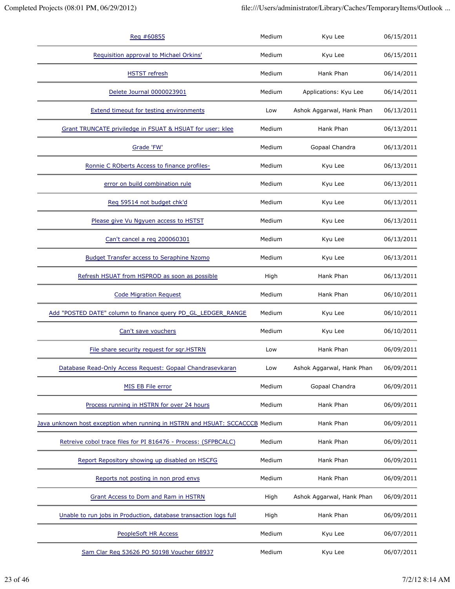| Reg #60855                                                                   | Medium | Kyu Lee                   | 06/15/2011 |
|------------------------------------------------------------------------------|--------|---------------------------|------------|
| Requisition approval to Michael Orkins'                                      | Medium | Kyu Lee                   | 06/15/2011 |
| <b>HSTST</b> refresh                                                         | Medium | Hank Phan                 | 06/14/2011 |
| Delete Journal 0000023901                                                    | Medium | Applications: Kyu Lee     | 06/14/2011 |
| <b>Extend timeout for testing environments</b>                               | Low    | Ashok Aggarwal, Hank Phan | 06/13/2011 |
| Grant TRUNCATE priviledge in FSUAT & HSUAT for user: klee                    | Medium | Hank Phan                 | 06/13/2011 |
| Grade 'FW'                                                                   | Medium | Gopaal Chandra            | 06/13/2011 |
| Ronnie C ROberts Access to finance profiles-                                 | Medium | Kyu Lee                   | 06/13/2011 |
| error on build combination rule                                              | Medium | Kyu Lee                   | 06/13/2011 |
| Req 59514 not budget chk'd                                                   | Medium | Kyu Lee                   | 06/13/2011 |
| Please give Vu Ngyuen access to HSTST                                        | Medium | Kyu Lee                   | 06/13/2011 |
| Can't cancel a req 200060301                                                 | Medium | Kyu Lee                   | 06/13/2011 |
| <b>Budget Transfer access to Seraphine Nzomo</b>                             | Medium | Kyu Lee                   | 06/13/2011 |
| Refresh HSUAT from HSPROD as soon as possible                                | High   | Hank Phan                 | 06/13/2011 |
| <b>Code Migration Request</b>                                                | Medium | Hank Phan                 | 06/10/2011 |
| Add "POSTED DATE" column to finance query PD_GL_LEDGER_RANGE                 | Medium | Kyu Lee                   | 06/10/2011 |
| Can't save vouchers                                                          | Medium | Kyu Lee                   | 06/10/2011 |
| File share security request for sqr.HSTRN                                    | Low    | Hank Phan                 | 06/09/2011 |
| Database Read-Only Access Request: Gopaal Chandrasevkaran                    | Low    | Ashok Aggarwal, Hank Phan | 06/09/2011 |
| MIS EB File error                                                            | Medium | Gopaal Chandra            | 06/09/2011 |
| Process running in HSTRN for over 24 hours                                   | Medium | Hank Phan                 | 06/09/2011 |
| Java unknown host exception when running in HSTRN and HSUAT: SCCACCCB Medium |        | Hank Phan                 | 06/09/2011 |
| Retreive cobol trace files for PI 816476 - Process: (SFPBCALC)               | Medium | Hank Phan                 | 06/09/2011 |
| Report Repository showing up disabled on HSCFG                               | Medium | Hank Phan                 | 06/09/2011 |
| Reports not posting in non prod envs                                         | Medium | Hank Phan                 | 06/09/2011 |
| <b>Grant Access to Dom and Ram in HSTRN</b>                                  | High   | Ashok Aggarwal, Hank Phan | 06/09/2011 |
| Unable to run jobs in Production, database transaction logs full             | High   | Hank Phan                 | 06/09/2011 |
| PeopleSoft HR Access                                                         | Medium | Kyu Lee                   | 06/07/2011 |
| Sam Clar Reg 53626 PO 50198 Voucher 68937                                    | Medium | Kyu Lee                   | 06/07/2011 |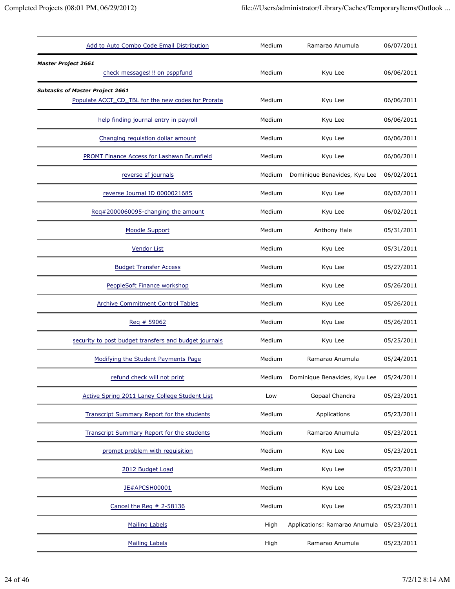| Add to Auto Combo Code Email Distribution                                                    | Medium | Ramarao Anumula               | 06/07/2011 |
|----------------------------------------------------------------------------------------------|--------|-------------------------------|------------|
| <b>Master Project 2661</b><br>check messages!!! on psppfund                                  | Medium | Kyu Lee                       | 06/06/2011 |
| <b>Subtasks of Master Project 2661</b><br>Populate ACCT_CD_TBL for the new codes for Prorata | Medium | Kyu Lee                       | 06/06/2011 |
| help finding journal entry in payroll                                                        | Medium | Kyu Lee                       | 06/06/2011 |
| Changing requistion dollar amount                                                            | Medium | Kyu Lee                       | 06/06/2011 |
| <b>PROMT Finance Access for Lashawn Brumfield</b>                                            | Medium | Kyu Lee                       | 06/06/2011 |
| reverse sf journals                                                                          | Medium | Dominique Benavides, Kyu Lee  | 06/02/2011 |
| reverse Journal ID 0000021685                                                                | Medium | Kyu Lee                       | 06/02/2011 |
| Req#2000060095-changing the amount                                                           | Medium | Kyu Lee                       | 06/02/2011 |
| Moodle Support                                                                               | Medium | Anthony Hale                  | 05/31/2011 |
| <b>Vendor List</b>                                                                           | Medium | Kyu Lee                       | 05/31/2011 |
| <b>Budget Transfer Access</b>                                                                | Medium | Kyu Lee                       | 05/27/2011 |
| PeopleSoft Finance workshop                                                                  | Medium | Kyu Lee                       | 05/26/2011 |
| <b>Archive Commitment Control Tables</b>                                                     | Medium | Kyu Lee                       | 05/26/2011 |
| Reg # 59062                                                                                  | Medium | Kyu Lee                       | 05/26/2011 |
| security to post budget transfers and budget journals                                        | Medium | Kyu Lee                       | 05/25/2011 |
| Modifying the Student Payments Page                                                          | Medium | Ramarao Anumula               | 05/24/2011 |
| refund check will not print                                                                  | Medium | Dominique Benavides, Kyu Lee  | 05/24/2011 |
| Active Spring 2011 Laney College Student List                                                | Low    | Gopaal Chandra                | 05/23/2011 |
| Transcript Summary Report for the students                                                   | Medium | Applications                  | 05/23/2011 |
| <b>Transcript Summary Report for the students</b>                                            | Medium | Ramarao Anumula               | 05/23/2011 |
| prompt problem with requisition                                                              | Medium | Kyu Lee                       | 05/23/2011 |
| 2012 Budget Load                                                                             | Medium | Kyu Lee                       | 05/23/2011 |
| JE#APCSH00001                                                                                | Medium | Kyu Lee                       | 05/23/2011 |
| Cancel the Req $# 2-58136$                                                                   | Medium | Kyu Lee                       | 05/23/2011 |
| <b>Mailing Labels</b>                                                                        | High   | Applications: Ramarao Anumula | 05/23/2011 |
| <b>Mailing Labels</b>                                                                        | High   | Ramarao Anumula               | 05/23/2011 |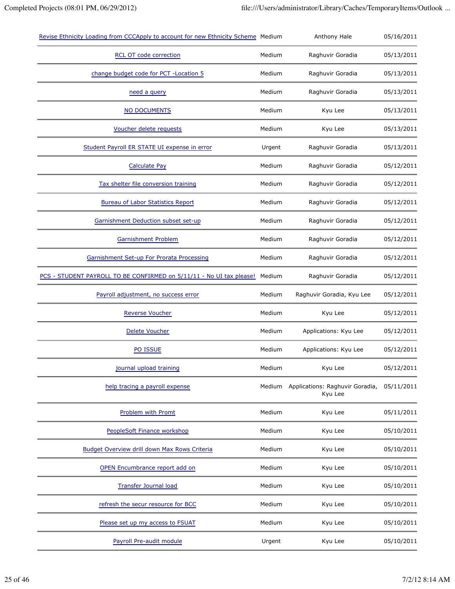| Revise Ethnicity Loading from CCCApply to account for new Ethnicity Scheme Medium |        | Anthony Hale                                      | 05/16/2011 |
|-----------------------------------------------------------------------------------|--------|---------------------------------------------------|------------|
| <b>RCL OT code correction</b>                                                     | Medium | Raghuvir Goradia                                  | 05/13/2011 |
| change budget code for PCT - Location 5                                           | Medium | Raghuvir Goradia                                  | 05/13/2011 |
| need a query                                                                      | Medium | Raghuvir Goradia                                  | 05/13/2011 |
| <b>NO DOCUMENTS</b>                                                               | Medium | Kyu Lee                                           | 05/13/2011 |
| Voucher delete requests                                                           | Medium | Kyu Lee                                           | 05/13/2011 |
| Student Payroll ER STATE UI expense in error                                      | Urgent | Raghuvir Goradia                                  | 05/13/2011 |
| Calculate Pay                                                                     | Medium | Raghuvir Goradia                                  | 05/12/2011 |
| Tax shelter file conversion training                                              | Medium | Raghuvir Goradia                                  | 05/12/2011 |
| <b>Bureau of Labor Statistics Report</b>                                          | Medium | Raghuvir Goradia                                  | 05/12/2011 |
| Garnishment Deduction subset set-up                                               | Medium | Raghuvir Goradia                                  | 05/12/2011 |
| <b>Garnishment Problem</b>                                                        | Medium | Raghuvir Goradia                                  | 05/12/2011 |
| Garnishment Set-up For Prorata Processing                                         | Medium | Raghuvir Goradia                                  | 05/12/2011 |
| PCS - STUDENT PAYROLL TO BE CONFIRMED on 5/11/11 - No UI tax please!              | Medium | Raghuvir Goradia                                  | 05/12/2011 |
| Payroll adjustment, no success error                                              | Medium | Raghuvir Goradia, Kyu Lee                         | 05/12/2011 |
| <b>Reverse Voucher</b>                                                            | Medium | Kyu Lee                                           | 05/12/2011 |
| Delete Voucher                                                                    | Medium | Applications: Kyu Lee                             | 05/12/2011 |
| PO ISSUE                                                                          | Medium | Applications: Kyu Lee                             | 05/12/2011 |
| journal upload training                                                           | Medium | Kyu Lee                                           | 05/12/2011 |
| help tracing a payroll expense                                                    |        | Medium Applications: Raghuvir Goradia,<br>Kyu Lee | 05/11/2011 |
| Problem with Promt                                                                | Medium | Kyu Lee                                           | 05/11/2011 |
| PeopleSoft Finance workshop                                                       | Medium | Kyu Lee                                           | 05/10/2011 |
| Budget Overview drill down Max Rows Criteria                                      | Medium | Kyu Lee                                           | 05/10/2011 |
| OPEN Encumbrance report add on                                                    | Medium | Kyu Lee                                           | 05/10/2011 |
| <b>Transfer Journal load</b>                                                      | Medium | Kyu Lee                                           | 05/10/2011 |
| refresh the secur resource for BCC                                                | Medium | Kyu Lee                                           | 05/10/2011 |
| Please set up my access to FSUAT                                                  | Medium | Kyu Lee                                           | 05/10/2011 |
| Payroll Pre-audit module                                                          | Urgent | Kyu Lee                                           | 05/10/2011 |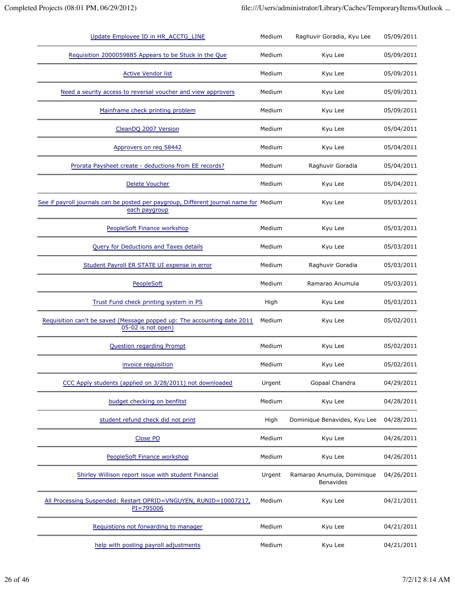| Update Employee ID in HR_ACCTG_LINE                                                                    | Medium | Raghuvir Goradia, Kyu Lee                      | 05/09/2011 |
|--------------------------------------------------------------------------------------------------------|--------|------------------------------------------------|------------|
| Requisition 2000059885 Appears to be Stuck in the Que                                                  | Medium | Kyu Lee                                        | 05/09/2011 |
| <b>Active Vendor list</b>                                                                              | Medium | Kyu Lee                                        | 05/09/2011 |
| Need a seurity access to reversal voucher and view approvers                                           | Medium | Kyu Lee                                        | 05/09/2011 |
| Mainframe check printing problem                                                                       | Medium | Kyu Lee                                        | 05/09/2011 |
| CleanDQ 2007 Version                                                                                   | Medium | Kyu Lee                                        | 05/04/2011 |
| Approvers on reg 58442                                                                                 | Medium | Kyu Lee                                        | 05/04/2011 |
| Prorata Paysheet create - deductions from EE records?                                                  | Medium | Raghuvir Goradia                               | 05/04/2011 |
| Delete Voucher                                                                                         | Medium | Kyu Lee                                        | 05/04/2011 |
| See if payroll journals can be posted per paygroup, Different journal name for Medium<br>each paygroup |        | Kyu Lee                                        | 05/03/2011 |
| PeopleSoft Finance workshop                                                                            | Medium | Kyu Lee                                        | 05/03/2011 |
| Query for Deductions and Taxes details                                                                 | Medium | Kyu Lee                                        | 05/03/2011 |
| Student Payroll ER STATE UI expense in error                                                           | Medium | Raghuvir Goradia                               | 05/03/2011 |
| PeopleSoft                                                                                             | Medium | Ramarao Anumula                                | 05/03/2011 |
| Trust Fund check printing system in PS                                                                 | High   | Kyu Lee                                        | 05/03/2011 |
| Requisition can't be saved (Message popped up: The accounting date 2011<br>05-02 is not open)          | Medium | Kyu Lee                                        | 05/02/2011 |
| <b>Question regarding Prompt</b>                                                                       | Medium | Kyu Lee                                        | 05/02/2011 |
| invoice requisition                                                                                    | Medium | Kyu Lee                                        | 05/02/2011 |
| CCC Apply students (applied on 3/28/2011) not downloaded                                               | Urgent | Gopaal Chandra                                 | 04/29/2011 |
| budget checking on benfitst                                                                            | Medium | Kyu Lee                                        | 04/28/2011 |
| student refund check did not print                                                                     | High   | Dominique Benavides, Kyu Lee                   | 04/28/2011 |
| Close PO                                                                                               | Medium | Kyu Lee                                        | 04/26/2011 |
| PeopleSoft Finance workshop                                                                            | Medium | Kyu Lee                                        | 04/26/2011 |
| Shirley Willison report issue with student Financial                                                   | Urgent | Ramarao Anumula, Dominique<br><b>Benavides</b> | 04/26/2011 |
| All Processing Suspended: Restart OPRID=VNGUYEN, RUNID=10007217,<br>$PI = 795006$                      | Medium | Kyu Lee                                        | 04/21/2011 |
| Requistions not forwarding to manager                                                                  | Medium | Kyu Lee                                        | 04/21/2011 |
| help with posting payroll adjustments                                                                  | Medium | Kyu Lee                                        | 04/21/2011 |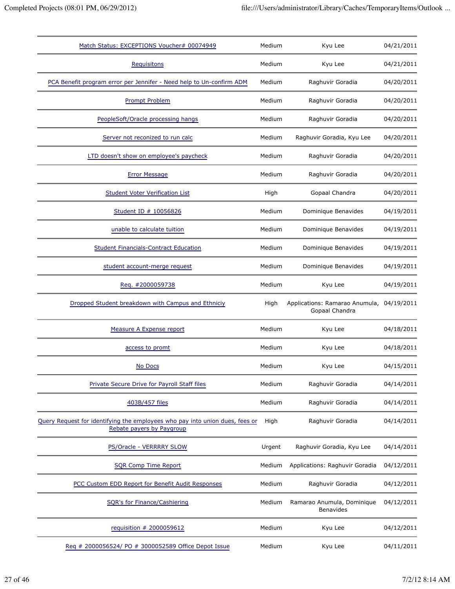| Match Status: EXCEPTIONS Voucher# 00074949                                                                | Medium | Kyu Lee                                        | 04/21/2011 |
|-----------------------------------------------------------------------------------------------------------|--------|------------------------------------------------|------------|
|                                                                                                           | Medium |                                                |            |
| Requisitons                                                                                               |        | Kyu Lee                                        | 04/21/2011 |
| PCA Benefit program error per Jennifer - Need help to Un-confirm ADM                                      | Medium | Raghuvir Goradia                               | 04/20/2011 |
| <b>Prompt Problem</b>                                                                                     | Medium | Raghuvir Goradia                               | 04/20/2011 |
| PeopleSoft/Oracle processing hangs                                                                        | Medium | Raghuvir Goradia                               | 04/20/2011 |
| Server not reconized to run calc                                                                          | Medium | Raghuvir Goradia, Kyu Lee                      | 04/20/2011 |
| LTD doesn't show on employee's paycheck                                                                   | Medium | Raghuvir Goradia                               | 04/20/2011 |
| <b>Error Message</b>                                                                                      | Medium | Raghuvir Goradia                               | 04/20/2011 |
| <b>Student Voter Verification List</b>                                                                    | High   | Gopaal Chandra                                 | 04/20/2011 |
| Student ID # 10056826                                                                                     | Medium | Dominique Benavides                            | 04/19/2011 |
| unable to calculate tuition                                                                               | Medium | Dominique Benavides                            | 04/19/2011 |
| <b>Student Financials-Contract Education</b>                                                              | Medium | Dominique Benavides                            | 04/19/2011 |
| student account-merge request                                                                             | Medium | Dominique Benavides                            | 04/19/2011 |
| Req. #2000059738                                                                                          | Medium | Kyu Lee                                        | 04/19/2011 |
| Dropped Student breakdown with Campus and Ethniciy                                                        | High   | Applications: Ramarao Anumula,                 | 04/19/2011 |
|                                                                                                           |        | Gopaal Chandra                                 |            |
| Measure A Expense report                                                                                  | Medium | Kyu Lee                                        | 04/18/2011 |
| access to promt                                                                                           | Medium | Kyu Lee                                        | 04/18/2011 |
| No Docs                                                                                                   | Medium | Kyu Lee                                        | 04/15/2011 |
| Private Secure Drive for Payroll Staff files                                                              | Medium | Raghuvir Goradia                               | 04/14/2011 |
| 403B/457 files                                                                                            | Medium | Raghuvir Goradia                               | 04/14/2011 |
| Query Request for identifying the employees who pay into union dues, fees or<br>Rebate payers by Paygroup | High   | Raghuvir Goradia                               | 04/14/2011 |
| PS/Oracle - VERRRRY SLOW                                                                                  | Urgent | Raghuvir Goradia, Kyu Lee                      | 04/14/2011 |
| <b>SQR Comp Time Report</b>                                                                               | Medium | Applications: Raghuvir Goradia                 | 04/12/2011 |
| PCC Custom EDD Report for Benefit Audit Responses                                                         | Medium | Raghuvir Goradia                               | 04/12/2011 |
| <b>SQR's for Finance/Cashiering</b>                                                                       | Medium | Ramarao Anumula, Dominique<br><b>Benavides</b> | 04/12/2011 |
| requisition # 2000059612                                                                                  | Medium | Kyu Lee                                        | 04/12/2011 |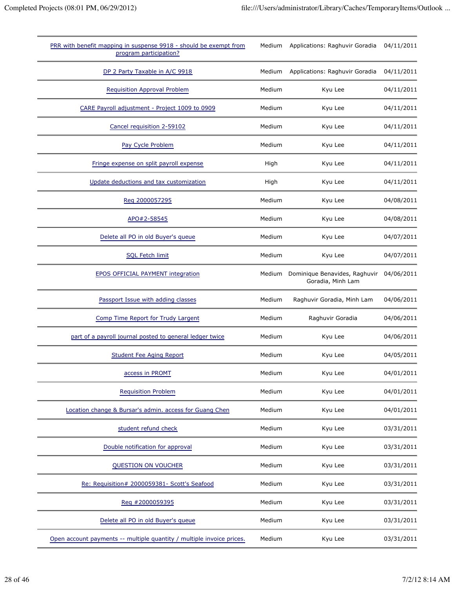| PRR with benefit mapping in suspense 9918 - should be exempt from<br>program participation? | Medium | Applications: Raghuvir Goradia                     | 04/11/2011 |
|---------------------------------------------------------------------------------------------|--------|----------------------------------------------------|------------|
| DP 2 Party Taxable in A/C 9918                                                              | Medium | Applications: Raghuvir Goradia                     | 04/11/2011 |
| <b>Requisition Approval Problem</b>                                                         | Medium | Kyu Lee                                            | 04/11/2011 |
| CARE Payroll adjustment - Project 1009 to 0909                                              | Medium | Kyu Lee                                            | 04/11/2011 |
| Cancel requisition 2-59102                                                                  | Medium | Kyu Lee                                            | 04/11/2011 |
| Pay Cycle Problem                                                                           | Medium | Kyu Lee                                            | 04/11/2011 |
| Fringe expense on split payroll expense                                                     | High   | Kyu Lee                                            | 04/11/2011 |
| Update deductions and tax customization                                                     | High   | Kyu Lee                                            | 04/11/2011 |
| Reg 2000057295                                                                              | Medium | Kyu Lee                                            | 04/08/2011 |
| APO#2-58545                                                                                 | Medium | Kyu Lee                                            | 04/08/2011 |
| Delete all PO in old Buyer's queue                                                          | Medium | Kyu Lee                                            | 04/07/2011 |
| <b>SQL Fetch limit</b>                                                                      | Medium | Kyu Lee                                            | 04/07/2011 |
| EPOS OFFICIAL PAYMENT integration                                                           | Medium | Dominique Benavides, Raghuvir<br>Goradia, Minh Lam | 04/06/2011 |
| Passport Issue with adding classes                                                          | Medium | Raghuvir Goradia, Minh Lam                         | 04/06/2011 |
| Comp Time Report for Trudy Largent                                                          | Medium | Raghuvir Goradia                                   | 04/06/2011 |
| part of a payroll journal posted to general ledger twice                                    | Medium | Kyu Lee                                            | 04/06/2011 |
| <b>Student Fee Aging Report</b>                                                             | Medium | Kyu Lee                                            | 04/05/2011 |
| access in PROMT                                                                             | Medium | Kyu Lee                                            | 04/01/2011 |
| <b>Requisition Problem</b>                                                                  | Medium | Kyu Lee                                            | 04/01/2011 |
| Location change & Bursar's admin. access for Guang Chen                                     | Medium | Kyu Lee                                            | 04/01/2011 |
| student refund check                                                                        | Medium | Kyu Lee                                            | 03/31/2011 |
| Double notification for approval                                                            | Medium | Kyu Lee                                            | 03/31/2011 |
| <b>QUESTION ON VOUCHER</b>                                                                  | Medium | Kyu Lee                                            | 03/31/2011 |
| Re: Requisition# 2000059381- Scott's Seafood                                                | Medium | Kyu Lee                                            | 03/31/2011 |
| Reg #2000059395                                                                             | Medium | Kyu Lee                                            | 03/31/2011 |
| Delete all PO in old Buyer's queue                                                          | Medium | Kyu Lee                                            | 03/31/2011 |
| Open account payments -- multiple quantity / multiple invoice prices.                       | Medium | Kyu Lee                                            | 03/31/2011 |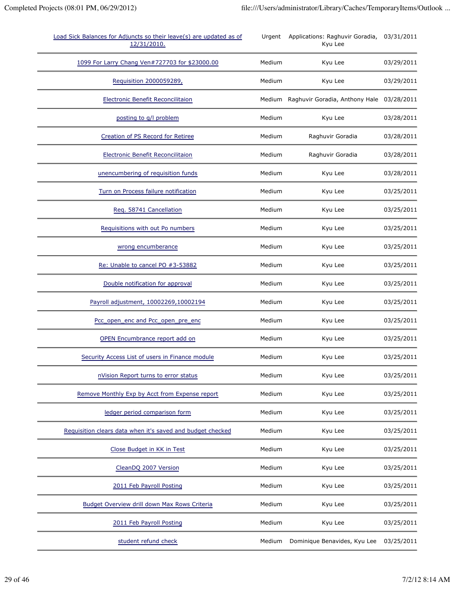| Load Sick Balances for Adjuncts so their leave(s) are updated as of<br>12/31/2010. | Urgent | Applications: Raghuvir Goradia,<br>Kyu Lee | 03/31/2011 |
|------------------------------------------------------------------------------------|--------|--------------------------------------------|------------|
| 1099 For Larry Chang Ven#727703 for \$23000.00                                     | Medium | Kyu Lee                                    | 03/29/2011 |
| Requisition 2000059289,                                                            | Medium | Kyu Lee                                    | 03/29/2011 |
| <b>Electronic Benefit Reconcilitaion</b>                                           |        | Medium Raghuvir Goradia, Anthony Hale      | 03/28/2011 |
| posting to g/l problem                                                             | Medium | Kyu Lee                                    | 03/28/2011 |
| Creation of PS Record for Retiree                                                  | Medium | Raghuvir Goradia                           | 03/28/2011 |
| <b>Electronic Benefit Reconcilitaion</b>                                           | Medium | Raghuvir Goradia                           | 03/28/2011 |
| unencumbering of requisition funds                                                 | Medium | Kyu Lee                                    | 03/28/2011 |
| Turn on Process failure notification                                               | Medium | Kyu Lee                                    | 03/25/2011 |
| Req. 58741 Cancellation                                                            | Medium | Kyu Lee                                    | 03/25/2011 |
| Requisitions with out Po numbers                                                   | Medium | Kyu Lee                                    | 03/25/2011 |
| wrong encumberance                                                                 | Medium | Kyu Lee                                    | 03/25/2011 |
| Re: Unable to cancel PO #3-53882                                                   | Medium | Kyu Lee                                    | 03/25/2011 |
| Double notification for approval                                                   | Medium | Kyu Lee                                    | 03/25/2011 |
| Payroll adjustment, 10002269,10002194                                              | Medium | Kyu Lee                                    | 03/25/2011 |
| Pcc_open_enc and Pcc_open_pre_enc                                                  | Medium | Kyu Lee                                    | 03/25/2011 |
| OPEN Encumbrance report add on                                                     | Medium | Kyu Lee                                    | 03/25/2011 |
| Security Access List of users in Finance module                                    | Medium | Kyu Lee                                    | 03/25/2011 |
| nVision Report turns to error status                                               | Medium | Kyu Lee                                    | 03/25/2011 |
| Remove Monthly Exp by Acct from Expense report                                     | Medium | Kyu Lee                                    | 03/25/2011 |
| ledger period comparison form                                                      | Medium | Kyu Lee                                    | 03/25/2011 |
| Requisition clears data when it's saved and budget checked                         | Medium | Kyu Lee                                    | 03/25/2011 |
| Close Budget in KK in Test                                                         | Medium | Kyu Lee                                    | 03/25/2011 |
| CleanDQ 2007 Version                                                               | Medium | Kyu Lee                                    | 03/25/2011 |
| 2011 Feb Payroll Posting                                                           | Medium | Kyu Lee                                    | 03/25/2011 |
| Budget Overview drill down Max Rows Criteria                                       | Medium | Kyu Lee                                    | 03/25/2011 |
| 2011 Feb Payroll Posting                                                           | Medium | Kyu Lee                                    | 03/25/2011 |
| student refund check                                                               | Medium | Dominique Benavides, Kyu Lee               | 03/25/2011 |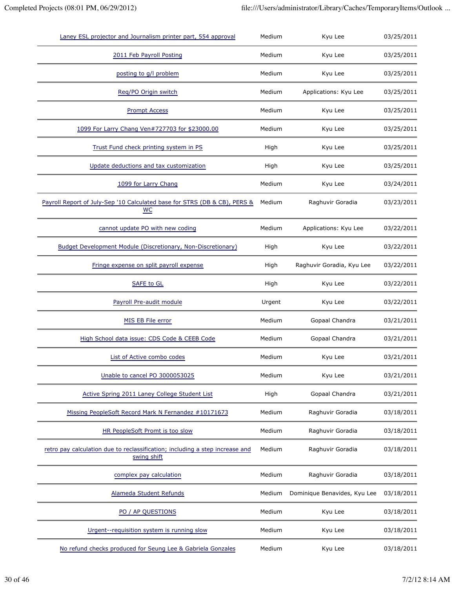| Laney ESL projector and Journalism printer part, 554 approval                               | Medium | Kyu Lee                      | 03/25/2011 |
|---------------------------------------------------------------------------------------------|--------|------------------------------|------------|
| 2011 Feb Payroll Posting                                                                    | Medium | Kyu Lee                      | 03/25/2011 |
| posting to g/l problem                                                                      | Medium | Kyu Lee                      | 03/25/2011 |
| Req/PO Origin switch                                                                        | Medium | Applications: Kyu Lee        | 03/25/2011 |
| <b>Prompt Access</b>                                                                        | Medium | Kyu Lee                      | 03/25/2011 |
| 1099 For Larry Chang Ven#727703 for \$23000.00                                              | Medium | Kyu Lee                      | 03/25/2011 |
| Trust Fund check printing system in PS                                                      | High   | Kyu Lee                      | 03/25/2011 |
| Update deductions and tax customization                                                     | High   | Kyu Lee                      | 03/25/2011 |
| 1099 for Larry Chang                                                                        | Medium | Kyu Lee                      | 03/24/2011 |
| Payroll Report of July-Sep '10 Calculated base for STRS (DB & CB), PERS &<br>WС             | Medium | Raghuvir Goradia             | 03/23/2011 |
| cannot update PO with new coding                                                            | Medium | Applications: Kyu Lee        | 03/22/2011 |
| <b>Budget Development Module (Discretionary, Non-Discretionary)</b>                         | High   | Kyu Lee                      | 03/22/2011 |
| Fringe expense on split payroll expense                                                     | High   | Raghuvir Goradia, Kyu Lee    | 03/22/2011 |
| <b>SAFE to GL</b>                                                                           | High   | Kyu Lee                      | 03/22/2011 |
| Payroll Pre-audit module                                                                    | Urgent | Kyu Lee                      | 03/22/2011 |
| MIS EB File error                                                                           | Medium | Gopaal Chandra               | 03/21/2011 |
| High School data issue: CDS Code & CEEB Code                                                | Medium | Gopaal Chandra               | 03/21/2011 |
| List of Active combo codes                                                                  | Medium | Kyu Lee                      | 03/21/2011 |
| Unable to cancel PO 3000053025                                                              | Medium | Kyu Lee                      | 03/21/2011 |
| Active Spring 2011 Laney College Student List                                               | High   | Gopaal Chandra               | 03/21/2011 |
| Missing PeopleSoft Record Mark N Fernandez #10171673                                        | Medium | Raghuvir Goradia             | 03/18/2011 |
| HR PeopleSoft Promt is too slow                                                             | Medium | Raghuvir Goradia             | 03/18/2011 |
| retro pay calculation due to reclassification; including a step increase and<br>swing shift | Medium | Raghuvir Goradia             | 03/18/2011 |
| complex pay calculation                                                                     | Medium | Raghuvir Goradia             | 03/18/2011 |
| Alameda Student Refunds                                                                     | Medium | Dominique Benavides, Kyu Lee | 03/18/2011 |
| PO / AP QUESTIONS                                                                           | Medium | Kyu Lee                      | 03/18/2011 |
| Urgent--requisition system is running slow                                                  | Medium | Kyu Lee                      | 03/18/2011 |
| No refund checks produced for Seung Lee & Gabriela Gonzales                                 | Medium | Kyu Lee                      | 03/18/2011 |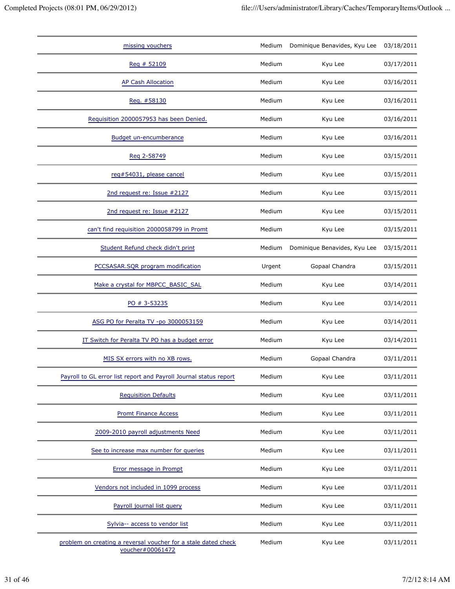| missing vouchers                                                                   | Medium | Dominique Benavides, Kyu Lee | 03/18/2011 |
|------------------------------------------------------------------------------------|--------|------------------------------|------------|
| Req # 52109                                                                        | Medium | Kyu Lee                      | 03/17/2011 |
| <b>AP Cash Allocation</b>                                                          | Medium | Kyu Lee                      | 03/16/2011 |
| Reg. #58130                                                                        | Medium | Kyu Lee                      | 03/16/2011 |
| Requisition 2000057953 has been Denied.                                            | Medium | Kyu Lee                      | 03/16/2011 |
| Budget un-encumberance                                                             | Medium | Kyu Lee                      | 03/16/2011 |
| Reg 2-58749                                                                        | Medium | Kyu Lee                      | 03/15/2011 |
| reg#54031, please cancel                                                           | Medium | Kyu Lee                      | 03/15/2011 |
| 2nd request re: Issue #2127                                                        | Medium | Kyu Lee                      | 03/15/2011 |
| 2nd request re: Issue #2127                                                        | Medium | Kyu Lee                      | 03/15/2011 |
| can't find requisition 2000058799 in Promt                                         | Medium | Kyu Lee                      | 03/15/2011 |
| Student Refund check didn't print                                                  | Medium | Dominique Benavides, Kyu Lee | 03/15/2011 |
| PCCSASAR.SQR program modification                                                  | Urgent | Gopaal Chandra               | 03/15/2011 |
| Make a crystal for MBPCC_BASIC_SAL                                                 | Medium | Kyu Lee                      | 03/14/2011 |
| PO # 3-53235                                                                       | Medium | Kyu Lee                      | 03/14/2011 |
| ASG PO for Peralta TV -po 3000053159                                               | Medium | Kyu Lee                      | 03/14/2011 |
| IT Switch for Peralta TV PO has a budget error                                     | Medium | Kyu Lee                      | 03/14/2011 |
| MIS SX errors with no XB rows.                                                     | Medium | Gopaal Chandra               | 03/11/2011 |
| Payroll to GL error list report and Payroll Journal status report                  | Medium | Kyu Lee                      | 03/11/2011 |
| <b>Requisition Defaults</b>                                                        | Medium | Kyu Lee                      | 03/11/2011 |
| <b>Promt Finance Access</b>                                                        | Medium | Kyu Lee                      | 03/11/2011 |
| 2009-2010 payroll adjustments Need                                                 | Medium | Kyu Lee                      | 03/11/2011 |
| See to increase max number for queries                                             | Medium | Kyu Lee                      | 03/11/2011 |
| Error message in Prompt                                                            | Medium | Kyu Lee                      | 03/11/2011 |
| Vendors not included in 1099 process                                               | Medium | Kyu Lee                      | 03/11/2011 |
| Payroll journal list query                                                         | Medium | Kyu Lee                      | 03/11/2011 |
| Sylvia-- access to vendor list                                                     | Medium | Kyu Lee                      | 03/11/2011 |
| problem on creating a reversal voucher for a stale dated check<br>voucher#00061472 | Medium | Kyu Lee                      | 03/11/2011 |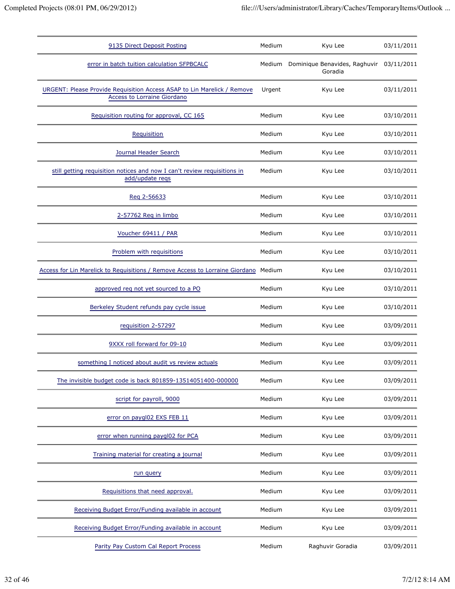| 9135 Direct Deposit Posting                                                                                   | Medium | Kyu Lee                                  | 03/11/2011 |
|---------------------------------------------------------------------------------------------------------------|--------|------------------------------------------|------------|
| error in batch tuition calculation SFPBCALC                                                                   | Medium | Dominique Benavides, Raghuvir<br>Goradia | 03/11/2011 |
| URGENT: Please Provide Requisition Access ASAP to Lin Marelick / Remove<br><b>Access to Lorraine Giordano</b> | Urgent | Kyu Lee                                  | 03/11/2011 |
| Requisition routing for approval, CC 165                                                                      | Medium | Kyu Lee                                  | 03/10/2011 |
| Requisition                                                                                                   | Medium | Kyu Lee                                  | 03/10/2011 |
| Journal Header Search                                                                                         | Medium | Kyu Lee                                  | 03/10/2011 |
| still getting requisition notices and now I can't review requisitions in<br>add/update reqs                   | Medium | Kyu Lee                                  | 03/10/2011 |
| Reg 2-56633                                                                                                   | Medium | Kyu Lee                                  | 03/10/2011 |
| 2-57762 Req in limbo                                                                                          | Medium | Kyu Lee                                  | 03/10/2011 |
| Voucher 69411 / PAR                                                                                           | Medium | Kyu Lee                                  | 03/10/2011 |
| Problem with requisitions                                                                                     | Medium | Kyu Lee                                  | 03/10/2011 |
| Access for Lin Marelick to Requisitions / Remove Access to Lorraine Giordano Medium                           |        | Kyu Lee                                  | 03/10/2011 |
| approved req not yet sourced to a PO                                                                          | Medium | Kyu Lee                                  | 03/10/2011 |
| Berkeley Student refunds pay cycle issue                                                                      | Medium | Kyu Lee                                  | 03/10/2011 |
| requisition 2-57297                                                                                           | Medium | Kyu Lee                                  | 03/09/2011 |
| 9XXX roll forward for 09-10                                                                                   | Medium | Kyu Lee                                  | 03/09/2011 |
| something I noticed about audit vs review actuals                                                             | Medium | Kyu Lee                                  | 03/09/2011 |
| The invisible budget code is back 801859-13514051400-000000                                                   | Medium | Kyu Lee                                  | 03/09/2011 |
| script for payroll, 9000                                                                                      | Medium | Kyu Lee                                  | 03/09/2011 |
| error on paygl02 EXS FEB 11                                                                                   | Medium | Kyu Lee                                  | 03/09/2011 |
| error when running paygl02 for PCA                                                                            | Medium | Kyu Lee                                  | 03/09/2011 |
| Training material for creating a journal                                                                      | Medium | Kyu Lee                                  | 03/09/2011 |
| run query                                                                                                     | Medium | Kyu Lee                                  | 03/09/2011 |
| Requisitions that need approval.                                                                              | Medium | Kyu Lee                                  | 03/09/2011 |
| Receiving Budget Error/Funding available in account                                                           | Medium | Kyu Lee                                  | 03/09/2011 |
| Receiving Budget Error/Funding available in account                                                           | Medium | Kyu Lee                                  | 03/09/2011 |
| Parity Pay Custom Cal Report Process                                                                          | Medium | Raghuvir Goradia                         | 03/09/2011 |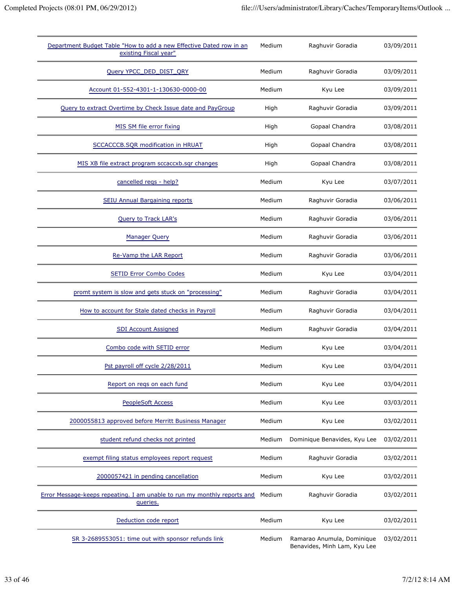| Department Budget Table "How to add a new Effective Dated row in an<br>existing Fiscal year" | Medium | Raghuvir Goradia                                           | 03/09/2011 |
|----------------------------------------------------------------------------------------------|--------|------------------------------------------------------------|------------|
| Query YPCC_DED_DIST_QRY                                                                      | Medium | Raghuvir Goradia                                           | 03/09/2011 |
| Account 01-552-4301-1-130630-0000-00                                                         | Medium | Kyu Lee                                                    | 03/09/2011 |
| Query to extract Overtime by Check Issue date and PayGroup                                   | High   | Raghuvir Goradia                                           | 03/09/2011 |
| MIS SM file error fixing                                                                     | High   | Gopaal Chandra                                             | 03/08/2011 |
| SCCACCCB.SQR modification in HRUAT                                                           | High   | Gopaal Chandra                                             | 03/08/2011 |
| MIS XB file extract program sccaccxb.sqr changes                                             | High   | Gopaal Chandra                                             | 03/08/2011 |
| cancelled regs - help?                                                                       | Medium | Kyu Lee                                                    | 03/07/2011 |
| <b>SEIU Annual Bargaining reports</b>                                                        | Medium | Raghuvir Goradia                                           | 03/06/2011 |
| <b>Query to Track LAR's</b>                                                                  | Medium | Raghuvir Goradia                                           | 03/06/2011 |
| <b>Manager Query</b>                                                                         | Medium | Raghuvir Goradia                                           | 03/06/2011 |
| Re-Vamp the LAR Report                                                                       | Medium | Raghuvir Goradia                                           | 03/06/2011 |
| SETID Error Combo Codes                                                                      | Medium | Kyu Lee                                                    | 03/04/2011 |
| promt system is slow and gets stuck on "processing"                                          | Medium | Raghuvir Goradia                                           | 03/04/2011 |
| How to account for Stale dated checks in Payroll                                             | Medium | Raghuvir Goradia                                           | 03/04/2011 |
| <b>SDI Account Assigned</b>                                                                  | Medium | Raghuvir Goradia                                           | 03/04/2011 |
| Combo code with SETID error                                                                  | Medium | Kyu Lee                                                    | 03/04/2011 |
| Pst payroll off cycle 2/28/2011                                                              | Medium | Kyu Lee                                                    | 03/04/2011 |
| Report on regs on each fund                                                                  | Medium | Kyu Lee                                                    | 03/04/2011 |
| <b>PeopleSoft Access</b>                                                                     | Medium | Kyu Lee                                                    | 03/03/2011 |
| 2000055813 approved before Merritt Business Manager                                          | Medium | Kyu Lee                                                    | 03/02/2011 |
| student refund checks not printed                                                            | Medium | Dominique Benavides, Kyu Lee                               | 03/02/2011 |
| exempt filing status employees report request                                                | Medium | Raghuvir Goradia                                           | 03/02/2011 |
| 2000057421 in pending cancellation                                                           | Medium | Kyu Lee                                                    | 03/02/2011 |
| Error Message-keeps repeating. I am unable to run my monthly reports and<br>queries.         | Medium | Raghuvir Goradia                                           | 03/02/2011 |
| Deduction code report                                                                        | Medium | Kyu Lee                                                    | 03/02/2011 |
| SR 3-2689553051: time out with sponsor refunds link                                          | Medium | Ramarao Anumula, Dominique<br>Benavides, Minh Lam, Kyu Lee | 03/02/2011 |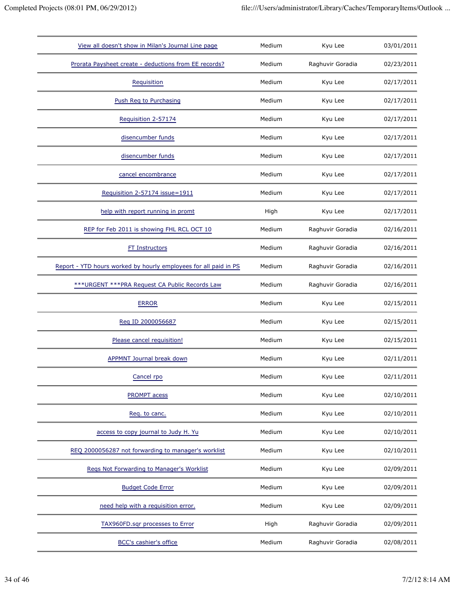| View all doesn't show in Milan's Journal Line page               | Medium | Kyu Lee          | 03/01/2011 |
|------------------------------------------------------------------|--------|------------------|------------|
| Prorata Paysheet create - deductions from EE records?            | Medium | Raghuvir Goradia | 02/23/2011 |
| Requisition                                                      | Medium | Kyu Lee          | 02/17/2011 |
| Push Reg to Purchasing                                           | Medium | Kyu Lee          | 02/17/2011 |
| Requisition 2-57174                                              | Medium | Kyu Lee          | 02/17/2011 |
| disencumber funds                                                | Medium | Kyu Lee          | 02/17/2011 |
| disencumber funds                                                | Medium | Kyu Lee          | 02/17/2011 |
| cancel encombrance                                               | Medium | Kyu Lee          | 02/17/2011 |
| Requisition 2-57174 issue=1911                                   | Medium | Kyu Lee          | 02/17/2011 |
| help with report running in promt                                | High   | Kyu Lee          | 02/17/2011 |
| REP for Feb 2011 is showing FHL RCL OCT 10                       | Medium | Raghuvir Goradia | 02/16/2011 |
| <b>FT Instructors</b>                                            | Medium | Raghuvir Goradia | 02/16/2011 |
| Report - YTD hours worked by hourly employees for all paid in PS | Medium | Raghuvir Goradia | 02/16/2011 |
| *** URGENT *** PRA Request CA Public Records Law                 | Medium | Raghuvir Goradia | 02/16/2011 |
|                                                                  |        |                  |            |
| <b>ERROR</b>                                                     | Medium | Kyu Lee          | 02/15/2011 |
| Reg ID 2000056687                                                | Medium | Kyu Lee          | 02/15/2011 |
| Please cancel requisition!                                       | Medium | Kyu Lee          | 02/15/2011 |
| <b>APPMNT Journal break down</b>                                 | Medium | Kyu Lee          | 02/11/2011 |
| Cancel rpo                                                       | Medium | Kyu Lee          | 02/11/2011 |
| <b>PROMPT</b> acess                                              | Medium | Kyu Lee          | 02/10/2011 |
| Req. to canc.                                                    | Medium | Kyu Lee          | 02/10/2011 |
| access to copy journal to Judy H. Yu                             | Medium | Kyu Lee          | 02/10/2011 |
| REQ 2000056287 not forwarding to manager's worklist              | Medium | Kyu Lee          | 02/10/2011 |
| Regs Not Forwarding to Manager's Worklist                        | Medium | Kyu Lee          | 02/09/2011 |
| <b>Budget Code Error</b>                                         | Medium | Kyu Lee          | 02/09/2011 |
| need help with a requisition error.                              | Medium | Kyu Lee          | 02/09/2011 |
| TAX960FD.sqr processes to Error                                  | High   | Raghuvir Goradia | 02/09/2011 |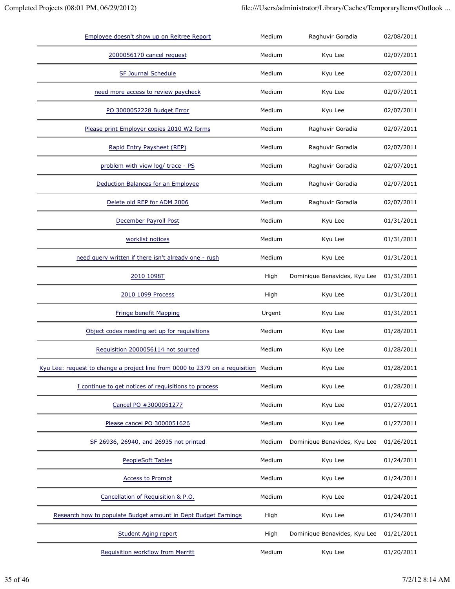| Employee doesn't show up on Reitree Report                                          | Medium | Raghuvir Goradia             | 02/08/2011 |
|-------------------------------------------------------------------------------------|--------|------------------------------|------------|
| 2000056170 cancel request                                                           | Medium | Kyu Lee                      | 02/07/2011 |
| SF Journal Schedule                                                                 | Medium | Kyu Lee                      | 02/07/2011 |
| need more access to review paycheck                                                 | Medium | Kyu Lee                      | 02/07/2011 |
| PO 3000052228 Budget Error                                                          | Medium | Kyu Lee                      | 02/07/2011 |
| Please print Employer copies 2010 W2 forms                                          | Medium | Raghuvir Goradia             | 02/07/2011 |
| Rapid Entry Paysheet (REP)                                                          | Medium | Raghuvir Goradia             | 02/07/2011 |
| problem with view log/ trace - PS                                                   | Medium | Raghuvir Goradia             | 02/07/2011 |
| Deduction Balances for an Employee                                                  | Medium | Raghuvir Goradia             | 02/07/2011 |
| Delete old REP for ADM 2006                                                         | Medium | Raghuvir Goradia             | 02/07/2011 |
| December Payroll Post                                                               | Medium | Kyu Lee                      | 01/31/2011 |
| worklist notices                                                                    | Medium | Kyu Lee                      | 01/31/2011 |
| need query written if there isn't already one - rush                                | Medium | Kyu Lee                      | 01/31/2011 |
| 2010 1098T                                                                          | High   | Dominique Benavides, Kyu Lee | 01/31/2011 |
| 2010 1099 Process                                                                   | High   | Kyu Lee                      | 01/31/2011 |
| Fringe benefit Mapping                                                              | Urgent | Kyu Lee                      | 01/31/2011 |
| Object codes needing set up for requisitions                                        | Medium | Kyu Lee                      | 01/28/2011 |
| Requisition 2000056114 not sourced                                                  | Medium | Kyu Lee                      | 01/28/2011 |
| Kyu Lee: request to change a project line from 0000 to 2379 on a requisition Medium |        | Kyu Lee                      | 01/28/2011 |
| I continue to get notices of requisitions to process                                | Medium | Kyu Lee                      | 01/28/2011 |
| Cancel PO #3000051277                                                               | Medium | Kyu Lee                      | 01/27/2011 |
| Please cancel PO 3000051626                                                         | Medium | Kyu Lee                      | 01/27/2011 |
| SF 26936, 26940, and 26935 not printed                                              | Medium | Dominique Benavides, Kyu Lee | 01/26/2011 |
| <b>PeopleSoft Tables</b>                                                            | Medium | Kyu Lee                      | 01/24/2011 |
| <b>Access to Prompt</b>                                                             | Medium | Kyu Lee                      | 01/24/2011 |
| Cancellation of Requisition & P.O.                                                  | Medium | Kyu Lee                      | 01/24/2011 |
| Research how to populate Budget amount in Dept Budget Earnings                      | High   | Kyu Lee                      | 01/24/2011 |
| Student Aging report                                                                | High   | Dominique Benavides, Kyu Lee | 01/21/2011 |
| Requisition workflow from Merritt                                                   | Medium | Kyu Lee                      | 01/20/2011 |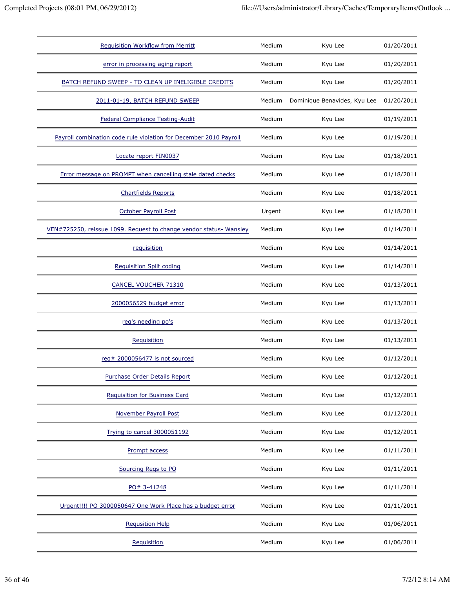| <b>Requisition Workflow from Merritt</b>                           | Medium | Kyu Lee                      | 01/20/2011 |
|--------------------------------------------------------------------|--------|------------------------------|------------|
| error in processing aging report                                   | Medium | Kyu Lee                      | 01/20/2011 |
| BATCH REFUND SWEEP - TO CLEAN UP INELIGIBLE CREDITS                | Medium | Kyu Lee                      | 01/20/2011 |
| 2011-01-19, BATCH REFUND SWEEP                                     | Medium | Dominique Benavides, Kyu Lee | 01/20/2011 |
| <b>Federal Compliance Testing-Audit</b>                            | Medium | Kyu Lee                      | 01/19/2011 |
| Payroll combination code rule violation for December 2010 Payroll  | Medium | Kyu Lee                      | 01/19/2011 |
| Locate report FIN0037                                              | Medium | Kyu Lee                      | 01/18/2011 |
| Error message on PROMPT when cancelling stale dated checks         | Medium | Kyu Lee                      | 01/18/2011 |
| <b>Chartfields Reports</b>                                         | Medium | Kyu Lee                      | 01/18/2011 |
| October Payroll Post                                               | Urgent | Kyu Lee                      | 01/18/2011 |
| VEN#725250, reissue 1099. Request to change vendor status- Wansley | Medium | Kyu Lee                      | 01/14/2011 |
| requisition                                                        | Medium | Kyu Lee                      | 01/14/2011 |
| <b>Requisition Split coding</b>                                    | Medium | Kyu Lee                      | 01/14/2011 |
| CANCEL VOUCHER 71310                                               | Medium | Kyu Lee                      | 01/13/2011 |
| 2000056529 budget error                                            | Medium | Kyu Lee                      | 01/13/2011 |
| reg's needing po's                                                 | Medium | Kyu Lee                      | 01/13/2011 |
| <b>Requisition</b>                                                 | Medium | Kyu Lee                      | 01/13/2011 |
| req# 2000056477 is not sourced                                     | Medium | Kyu Lee                      | 01/12/2011 |
| Purchase Order Details Report                                      | Medium | Kyu Lee                      | 01/12/2011 |
| <b>Requisition for Business Card</b>                               | Medium | Kyu Lee                      | 01/12/2011 |
| <b>November Payroll Post</b>                                       | Medium | Kyu Lee                      | 01/12/2011 |
| Trying to cancel 3000051192                                        | Medium | Kyu Lee                      | 01/12/2011 |
| Prompt access                                                      | Medium | Kyu Lee                      | 01/11/2011 |
| Sourcing Regs to PO                                                | Medium | Kyu Lee                      | 01/11/2011 |
| PO# 3-41248                                                        | Medium | Kyu Lee                      | 01/11/2011 |
| Urgent!!!! PO 3000050647 One Work Place has a budget error         | Medium | Kyu Lee                      | 01/11/2011 |
| <b>Requsition Help</b>                                             | Medium | Kyu Lee                      | 01/06/2011 |
| Requisition                                                        | Medium | Kyu Lee                      | 01/06/2011 |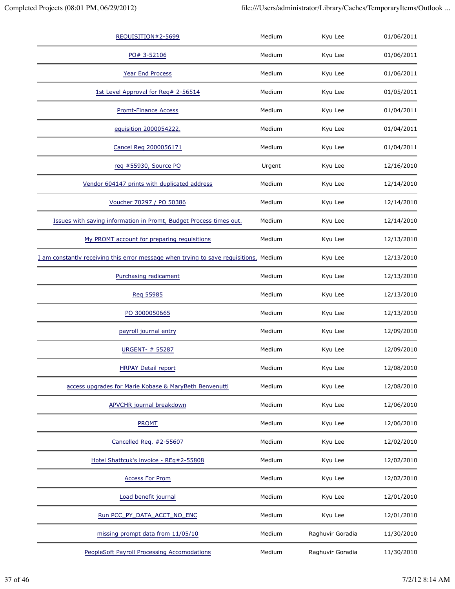| REQUISITION#2-5699                                                                    | Medium | Kyu Lee          | 01/06/2011 |
|---------------------------------------------------------------------------------------|--------|------------------|------------|
| PO# 3-52106                                                                           | Medium | Kyu Lee          | 01/06/2011 |
| <b>Year End Process</b>                                                               | Medium | Kyu Lee          | 01/06/2011 |
| 1st Level Approval for Req# 2-56514                                                   | Medium | Kyu Lee          | 01/05/2011 |
| <b>Promt-Finance Access</b>                                                           | Medium | Kyu Lee          | 01/04/2011 |
| equisition 2000054222.                                                                | Medium | Kyu Lee          | 01/04/2011 |
| Cancel Req 2000056171                                                                 | Medium | Kyu Lee          | 01/04/2011 |
| req #55930, Source PO                                                                 | Urgent | Kyu Lee          | 12/16/2010 |
| Vendor 604147 prints with duplicated address                                          | Medium | Kyu Lee          | 12/14/2010 |
| Voucher 70297 / PO 50386                                                              | Medium | Kyu Lee          | 12/14/2010 |
| Issues with saving information in Promt, Budget Process times out.                    | Medium | Kyu Lee          | 12/14/2010 |
| My PROMT account for preparing requisitions                                           | Medium | Kyu Lee          | 12/13/2010 |
| I am constantly receiving this error message when trying to save requisitions. Medium |        | Kyu Lee          | 12/13/2010 |
| Purchasing redicament                                                                 | Medium | Kyu Lee          | 12/13/2010 |
| Reg 55985                                                                             | Medium | Kyu Lee          | 12/13/2010 |
| PO 3000050665                                                                         | Medium | Kyu Lee          | 12/13/2010 |
| payroll journal entry                                                                 | Medium | Kyu Lee          | 12/09/2010 |
| <b>URGENT- # 55287</b>                                                                | Medium | Kyu Lee          | 12/09/2010 |
| <b>HRPAY Detail report</b>                                                            | Medium | Kyu Lee          | 12/08/2010 |
| access upgrades for Marie Kobase & MaryBeth Benvenutti                                | Medium | Kyu Lee          | 12/08/2010 |
| APVCHR journal breakdown                                                              | Medium | Kyu Lee          | 12/06/2010 |
| <b>PROMT</b>                                                                          | Medium | Kyu Lee          | 12/06/2010 |
| Cancelled Req. #2-55607                                                               | Medium | Kyu Lee          | 12/02/2010 |
| Hotel Shattcuk's invoice - REq#2-55808                                                | Medium | Kyu Lee          | 12/02/2010 |
| <b>Access For Prom</b>                                                                | Medium | Kyu Lee          | 12/02/2010 |
| Load benefit journal                                                                  | Medium | Kyu Lee          | 12/01/2010 |
| Run PCC_PY_DATA_ACCT_NO_ENC                                                           | Medium | Kyu Lee          | 12/01/2010 |
| missing prompt data from 11/05/10                                                     | Medium | Raghuvir Goradia | 11/30/2010 |
| <b>PeopleSoft Payroll Processing Accomodations</b>                                    | Medium | Raghuvir Goradia | 11/30/2010 |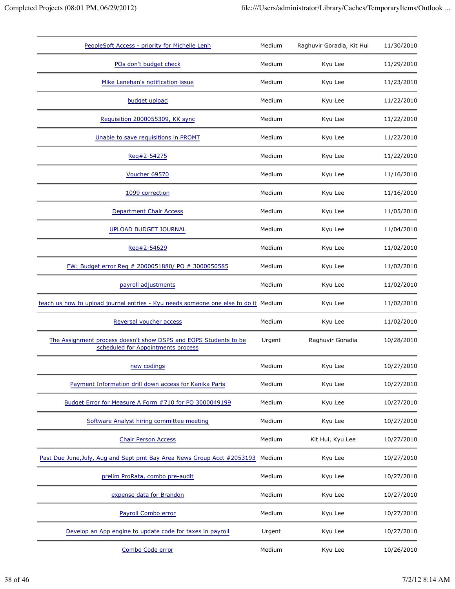| PeopleSoft Access - priority for Michelle Lenh                                                         | Medium | Raghuvir Goradia, Kit Hui | 11/30/2010 |
|--------------------------------------------------------------------------------------------------------|--------|---------------------------|------------|
| POs don't budget check                                                                                 | Medium | Kyu Lee                   | 11/29/2010 |
| Mike Lenehan's notification issue                                                                      | Medium | Kyu Lee                   | 11/23/2010 |
| budget upload                                                                                          | Medium | Kyu Lee                   | 11/22/2010 |
| Requisition 2000055309, KK sync                                                                        | Medium | Kyu Lee                   | 11/22/2010 |
| Unable to save requisitions in PROMT                                                                   | Medium | Kyu Lee                   | 11/22/2010 |
| Reg#2-54275                                                                                            | Medium | Kyu Lee                   | 11/22/2010 |
| Voucher 69570                                                                                          | Medium | Kyu Lee                   | 11/16/2010 |
| 1099 correction                                                                                        | Medium | Kyu Lee                   | 11/16/2010 |
| <b>Department Chair Access</b>                                                                         | Medium | Kyu Lee                   | 11/05/2010 |
| UPLOAD BUDGET JOURNAL                                                                                  | Medium | Kyu Lee                   | 11/04/2010 |
| Reg#2-54629                                                                                            | Medium | Kyu Lee                   | 11/02/2010 |
| FW: Budget error Req # 2000051880/ PO # 3000050585                                                     | Medium | Kyu Lee                   | 11/02/2010 |
| payroll adjustments                                                                                    | Medium | Kyu Lee                   | 11/02/2010 |
| teach us how to upload journal entries - Kyu needs someone one else to do it Medium                    |        | Kyu Lee                   | 11/02/2010 |
| Reversal voucher access                                                                                | Medium | Kyu Lee                   | 11/02/2010 |
| The Assignment process doesn't show DSPS and EOPS Students to be<br>scheduled for Appointments process | Urgent | Raghuvir Goradia          | 10/28/2010 |
| new codings                                                                                            | Medium | Kyu Lee                   | 10/27/2010 |
| Payment Information drill down access for Kanika Paris                                                 | Medium | Kyu Lee                   | 10/27/2010 |
| Budget Error for Measure A Form #710 for PO 3000049199                                                 | Medium | Kyu Lee                   | 10/27/2010 |
| Software Analyst hiring committee meeting                                                              | Medium | Kyu Lee                   | 10/27/2010 |
| <b>Chair Person Access</b>                                                                             | Medium | Kit Hui, Kyu Lee          | 10/27/2010 |
| Past Due June, July, Aug and Sept pmt Bay Area News Group Acct #2053193                                | Medium | Kyu Lee                   | 10/27/2010 |
| prelim ProRata, combo pre-audit                                                                        | Medium | Kyu Lee                   | 10/27/2010 |
| expense data for Brandon                                                                               | Medium | Kyu Lee                   | 10/27/2010 |
| Payroll Combo error                                                                                    | Medium | Kyu Lee                   | 10/27/2010 |
| Develop an App engine to update code for taxes in payroll                                              | Urgent | Kyu Lee                   | 10/27/2010 |
| Combo Code error                                                                                       | Medium | Kyu Lee                   | 10/26/2010 |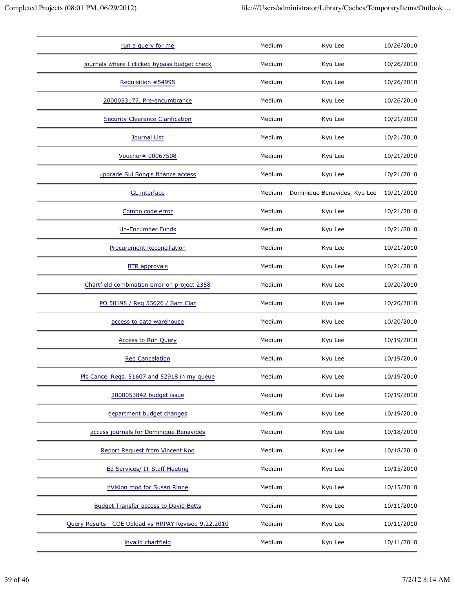| run a query for me                                    | Medium | Kyu Lee                      | 10/26/2010 |
|-------------------------------------------------------|--------|------------------------------|------------|
| journals where I clicked bypass budget check          | Medium | Kyu Lee                      | 10/26/2010 |
| Requisition #54995                                    | Medium | Kyu Lee                      | 10/26/2010 |
| 2000053177, Pre-encumbrance                           | Medium | Kyu Lee                      | 10/26/2010 |
| <b>Security Clearance Clarification</b>               | Medium | Kyu Lee                      | 10/21/2010 |
| Journal List                                          | Medium | Kyu Lee                      | 10/21/2010 |
| Voucher# 00067508                                     | Medium | Kyu Lee                      | 10/21/2010 |
| upgrade Sui Song's finance access                     | Medium | Kyu Lee                      | 10/21/2010 |
| <b>GL</b> interface                                   | Medium | Dominique Benavides, Kyu Lee | 10/21/2010 |
| Combo code error                                      | Medium | Kyu Lee                      | 10/21/2010 |
| <b>Un-Encumber Funds</b>                              | Medium | Kyu Lee                      | 10/21/2010 |
| <b>Procurement Reconciliation</b>                     | Medium | Kyu Lee                      | 10/21/2010 |
| <b>BTR</b> approvals                                  | Medium | Kyu Lee                      | 10/21/2010 |
| Chartfield combination error on project 2358          | Medium | Kyu Lee                      | 10/20/2010 |
| PO 50198 / Req 53626 / Sam Clar                       | Medium | Kyu Lee                      | 10/20/2010 |
| access to data warehouse                              | Medium | Kyu Lee                      | 10/20/2010 |
| Access to Run Query                                   | Medium | Kyu Lee                      | 10/19/2010 |
| <b>Reg Cancelation</b>                                | Medium | Kyu Lee                      | 10/19/2010 |
| Pls Cancel Regs. 51607 and 52918 in my queue          | Medium | Kyu Lee                      | 10/19/2010 |
| 2000053842 budget issue                               | Medium | Kyu Lee                      | 10/19/2010 |
| department budget changes                             | Medium | Kyu Lee                      | 10/19/2010 |
| access journals for Dominique Benavides               | Medium | Kyu Lee                      | 10/18/2010 |
| Report Request from Vincent Koo                       | Medium | Kyu Lee                      | 10/18/2010 |
| Ed Services/ IT Staff Meeting                         | Medium | Kyu Lee                      | 10/15/2010 |
| nVision mod for Susan Rinne                           | Medium | Kyu Lee                      | 10/15/2010 |
| <b>Budget Transfer access to David Betts</b>          | Medium | Kyu Lee                      | 10/11/2010 |
| Query Results - COE Upload vs HRPAY Revised 9.22.2010 | Medium | Kyu Lee                      | 10/11/2010 |
| invalid chartfield                                    | Medium | Kyu Lee                      | 10/11/2010 |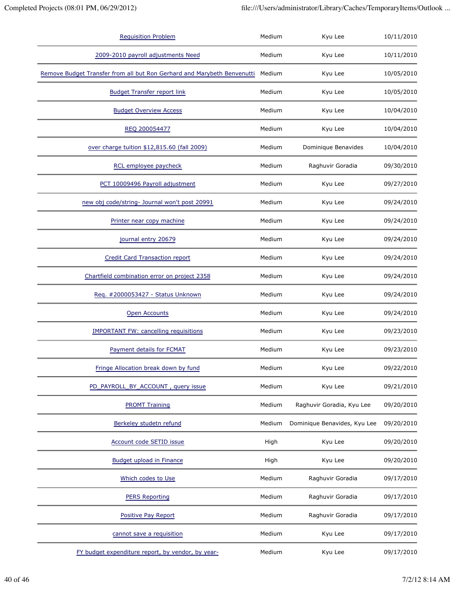| <b>Requisition Problem</b>                                              | Medium | Kyu Lee                      | 10/11/2010 |
|-------------------------------------------------------------------------|--------|------------------------------|------------|
| 2009-2010 payroll adjustments Need                                      | Medium | Kyu Lee                      | 10/11/2010 |
| Remove Budget Transfer from all but Ron Gerhard and Marybeth Benvenutti | Medium | Kyu Lee                      | 10/05/2010 |
| <b>Budget Transfer report link</b>                                      | Medium | Kyu Lee                      | 10/05/2010 |
| <b>Budget Overview Access</b>                                           | Medium | Kyu Lee                      | 10/04/2010 |
| REQ 200054477                                                           | Medium | Kyu Lee                      | 10/04/2010 |
| over charge tuition \$12,815.60 (fall 2009)                             | Medium | Dominique Benavides          | 10/04/2010 |
| RCL employee paycheck                                                   | Medium | Raghuvir Goradia             | 09/30/2010 |
| PCT 10009496 Payroll adjustment                                         | Medium | Kyu Lee                      | 09/27/2010 |
| new obj code/string- Journal won't post 20991                           | Medium | Kyu Lee                      | 09/24/2010 |
| Printer near copy machine                                               | Medium | Kyu Lee                      | 09/24/2010 |
| journal entry 20679                                                     | Medium | Kyu Lee                      | 09/24/2010 |
| <b>Credit Card Transaction report</b>                                   | Medium | Kyu Lee                      | 09/24/2010 |
| Chartfield combination error on project 2358                            | Medium | Kyu Lee                      | 09/24/2010 |
| Req. #2000053427 - Status Unknown                                       | Medium | Kyu Lee                      | 09/24/2010 |
| Open Accounts                                                           | Medium | Kyu Lee                      | 09/24/2010 |
| <b>IMPORTANT FW: cancelling requisitions</b>                            | Medium | Kyu Lee                      | 09/23/2010 |
| Payment details for FCMAT                                               | Medium | Kyu Lee                      | 09/23/2010 |
| Fringe Allocation break down by fund                                    | Medium | Kyu Lee                      | 09/22/2010 |
| PD_PAYROLL_BY_ACCOUNT, query issue                                      | Medium | Kyu Lee                      | 09/21/2010 |
| <b>PROMT Training</b>                                                   | Medium | Raghuvir Goradia, Kyu Lee    | 09/20/2010 |
| Berkeley studetn refund                                                 | Medium | Dominique Benavides, Kyu Lee | 09/20/2010 |
| Account code SETID issue                                                | High   | Kyu Lee                      | 09/20/2010 |
| <b>Budget upload in Finance</b>                                         | High   | Kyu Lee                      | 09/20/2010 |
| Which codes to Use                                                      | Medium | Raghuvir Goradia             | 09/17/2010 |
| <b>PERS Reporting</b>                                                   | Medium | Raghuvir Goradia             | 09/17/2010 |
| Positive Pay Report                                                     | Medium | Raghuvir Goradia             | 09/17/2010 |
| cannot save a requisition                                               | Medium | Kyu Lee                      | 09/17/2010 |
| FY budget expenditure report, by vendor, by year-                       | Medium | Kyu Lee                      | 09/17/2010 |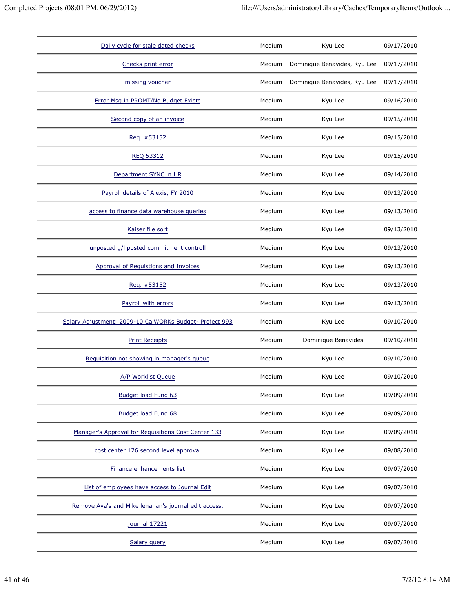| Daily cycle for stale dated checks                      | Medium | Kyu Lee                      | 09/17/2010 |
|---------------------------------------------------------|--------|------------------------------|------------|
| Checks print error                                      | Medium | Dominique Benavides, Kyu Lee | 09/17/2010 |
| missing voucher                                         | Medium | Dominique Benavides, Kyu Lee | 09/17/2010 |
| Error Msg in PROMT/No Budget Exists                     | Medium | Kyu Lee                      | 09/16/2010 |
| Second copy of an invoice                               | Medium | Kyu Lee                      | 09/15/2010 |
| Req. #53152                                             | Medium | Kyu Lee                      | 09/15/2010 |
| <b>REQ 53312</b>                                        | Medium | Kyu Lee                      | 09/15/2010 |
| Department SYNC in HR                                   | Medium | Kyu Lee                      | 09/14/2010 |
| Payroll details of Alexis, FY 2010                      | Medium | Kyu Lee                      | 09/13/2010 |
| access to finance data warehouse queries                | Medium | Kyu Lee                      | 09/13/2010 |
| Kaiser file sort                                        | Medium | Kyu Lee                      | 09/13/2010 |
| unposted g/l posted commitment controll                 | Medium | Kyu Lee                      | 09/13/2010 |
| <b>Approval of Requistions and Invoices</b>             | Medium | Kyu Lee                      | 09/13/2010 |
| Req. #53152                                             | Medium | Kyu Lee                      | 09/13/2010 |
| Payroll with errors                                     | Medium | Kyu Lee                      | 09/13/2010 |
| Salary Adjustment: 2009-10 CalWORKs Budget- Project 993 | Medium | Kyu Lee                      | 09/10/2010 |
| <b>Print Receipts</b>                                   | Medium | Dominique Benavides          | 09/10/2010 |
| Requisition not showing in manager's queue              | Medium | Kyu Lee                      | 09/10/2010 |
| A/P Worklist Queue                                      | Medium | Kyu Lee                      | 09/10/2010 |
| <b>Budget load Fund 63</b>                              | Medium | Kyu Lee                      | 09/09/2010 |
| <b>Budget load Fund 68</b>                              | Medium | Kyu Lee                      | 09/09/2010 |
| Manager's Approval for Requisitions Cost Center 133     | Medium | Kyu Lee                      | 09/09/2010 |
| cost center 126 second level approval                   | Medium | Kyu Lee                      | 09/08/2010 |
| Finance enhancements list                               | Medium | Kyu Lee                      | 09/07/2010 |
| List of employees have access to Journal Edit           | Medium | Kyu Lee                      | 09/07/2010 |
| Remove Ava's and Mike lenahan's journal edit access.    | Medium | Kyu Lee                      | 09/07/2010 |
| journal 17221                                           | Medium | Kyu Lee                      | 09/07/2010 |
| Salary query                                            | Medium | Kyu Lee                      | 09/07/2010 |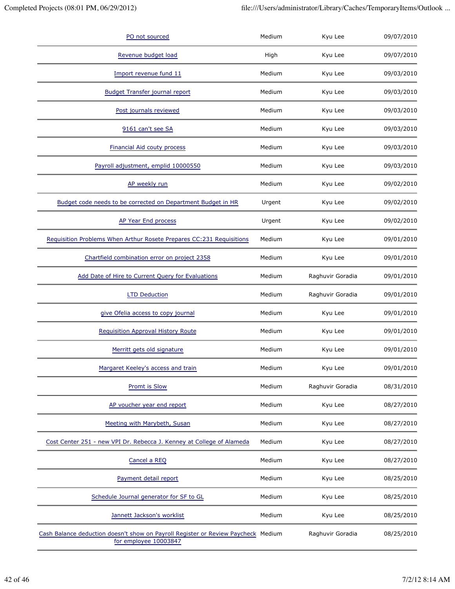| PO not sourced                                                                                             | Medium | Kyu Lee          | 09/07/2010 |
|------------------------------------------------------------------------------------------------------------|--------|------------------|------------|
| Revenue budget load                                                                                        | High   | Kyu Lee          | 09/07/2010 |
| Import revenue fund 11                                                                                     | Medium | Kyu Lee          | 09/03/2010 |
| <b>Budget Transfer journal report</b>                                                                      | Medium | Kyu Lee          | 09/03/2010 |
| Post journals reviewed                                                                                     | Medium | Kyu Lee          | 09/03/2010 |
| 9161 can't see SA                                                                                          | Medium | Kyu Lee          | 09/03/2010 |
| Financial Aid couty process                                                                                | Medium | Kyu Lee          | 09/03/2010 |
| Payroll adjustment, emplid 10000550                                                                        | Medium | Kyu Lee          | 09/03/2010 |
| AP weekly run                                                                                              | Medium | Kyu Lee          | 09/02/2010 |
| Budget code needs to be corrected on Department Budget in HR                                               | Urgent | Kyu Lee          | 09/02/2010 |
| AP Year End process                                                                                        | Urgent | Kyu Lee          | 09/02/2010 |
| Requisition Problems When Arthur Rosete Prepares CC:231 Requisitions                                       | Medium | Kyu Lee          | 09/01/2010 |
| Chartfield combination error on project 2358                                                               | Medium | Kyu Lee          | 09/01/2010 |
| Add Date of Hire to Current Query for Evaluations                                                          | Medium | Raghuvir Goradia | 09/01/2010 |
| <b>LTD Deduction</b>                                                                                       | Medium | Raghuvir Goradia | 09/01/2010 |
| give Ofelia access to copy journal                                                                         | Medium | Kyu Lee          | 09/01/2010 |
| Requisition Approval History Route                                                                         | Medium | Kyu Lee          | 09/01/2010 |
| Merritt gets old signature                                                                                 | Medium | Kyu Lee          | 09/01/2010 |
| Margaret Keeley's access and train                                                                         | Medium | Kyu Lee          | 09/01/2010 |
| <b>Promt is Slow</b>                                                                                       | Medium | Raghuvir Goradia | 08/31/2010 |
| AP voucher year end report                                                                                 | Medium | Kyu Lee          | 08/27/2010 |
| Meeting with Marybeth, Susan                                                                               | Medium | Kyu Lee          | 08/27/2010 |
| Cost Center 251 - new VPI Dr. Rebecca J. Kenney at College of Alameda                                      | Medium | Kyu Lee          | 08/27/2010 |
| Cancel a REQ                                                                                               | Medium | Kyu Lee          | 08/27/2010 |
| Payment detail report                                                                                      | Medium | Kyu Lee          | 08/25/2010 |
| Schedule Journal generator for SF to GL                                                                    | Medium | Kyu Lee          | 08/25/2010 |
| Jannett Jackson's worklist                                                                                 | Medium | Kyu Lee          | 08/25/2010 |
| Cash Balance deduction doesn't show on Payroll Register or Review Paycheck Medium<br>for employee 10003847 |        | Raghuvir Goradia | 08/25/2010 |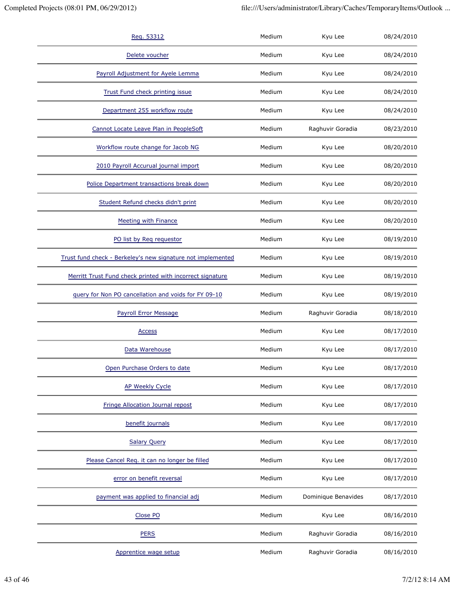| Reg. 53312                                                  | Medium | Kyu Lee             | 08/24/2010 |
|-------------------------------------------------------------|--------|---------------------|------------|
| Delete voucher                                              | Medium | Kyu Lee             | 08/24/2010 |
| Payroll Adjustment for Ayele Lemma                          | Medium | Kyu Lee             | 08/24/2010 |
| Trust Fund check printing issue                             | Medium | Kyu Lee             | 08/24/2010 |
| Department 255 workflow route                               | Medium | Kyu Lee             | 08/24/2010 |
| Cannot Locate Leave Plan in PeopleSoft                      | Medium | Raghuvir Goradia    | 08/23/2010 |
| Workflow route change for Jacob NG                          | Medium | Kyu Lee             | 08/20/2010 |
| 2010 Payroll Accurual journal import                        | Medium | Kyu Lee             | 08/20/2010 |
| Police Department transactions break down                   | Medium | Kyu Lee             | 08/20/2010 |
| Student Refund checks didn't print                          | Medium | Kyu Lee             | 08/20/2010 |
| <b>Meeting with Finance</b>                                 | Medium | Kyu Lee             | 08/20/2010 |
| PO list by Req requestor                                    | Medium | Kyu Lee             | 08/19/2010 |
| Trust fund check - Berkeley's new signature not implemented | Medium | Kyu Lee             | 08/19/2010 |
| Merritt Trust Fund check printed with incorrect signature   | Medium | Kyu Lee             | 08/19/2010 |
| query for Non PO cancellation and voids for FY 09-10        | Medium | Kyu Lee             | 08/19/2010 |
| Payroll Error Message                                       | Medium | Raghuvir Goradia    | 08/18/2010 |
| <b>Access</b>                                               | Medium | Kyu Lee             | 08/17/2010 |
| Data Warehouse                                              | Medium | Kyu Lee             | 08/17/2010 |
| Open Purchase Orders to date                                | Medium | Kyu Lee             | 08/17/2010 |
| <b>AP Weekly Cycle</b>                                      | Medium | Kyu Lee             | 08/17/2010 |
| Fringe Allocation Journal repost                            | Medium | Kyu Lee             | 08/17/2010 |
| benefit journals                                            | Medium | Kyu Lee             | 08/17/2010 |
| <b>Salary Query</b>                                         | Medium | Kyu Lee             | 08/17/2010 |
| Please Cancel Req. it can no longer be filled               | Medium | Kyu Lee             | 08/17/2010 |
| error on benefit reversal                                   | Medium | Kyu Lee             | 08/17/2010 |
| payment was applied to financial adj                        | Medium | Dominique Benavides | 08/17/2010 |
| Close PO                                                    | Medium | Kyu Lee             | 08/16/2010 |
| <b>PERS</b>                                                 | Medium | Raghuvir Goradia    | 08/16/2010 |
| Apprentice wage setup                                       | Medium | Raghuvir Goradia    | 08/16/2010 |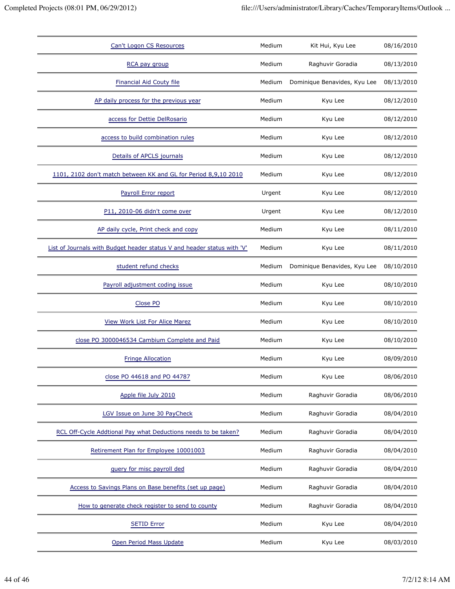| Can't Logon CS Resources                                                | Medium | Kit Hui, Kyu Lee             | 08/16/2010 |
|-------------------------------------------------------------------------|--------|------------------------------|------------|
| <b>RCA pay group</b>                                                    | Medium | Raghuvir Goradia             | 08/13/2010 |
| <b>Financial Aid Couty file</b>                                         | Medium | Dominique Benavides, Kyu Lee | 08/13/2010 |
| AP daily process for the previous year                                  | Medium | Kyu Lee                      | 08/12/2010 |
| access for Dettie DelRosario                                            | Medium | Kyu Lee                      | 08/12/2010 |
| access to build combination rules                                       | Medium | Kyu Lee                      | 08/12/2010 |
| Details of APCLS journals                                               | Medium | Kyu Lee                      | 08/12/2010 |
| 1101, 2102 don't match between KK and GL for Period 8,9,10 2010         | Medium | Kyu Lee                      | 08/12/2010 |
| Payroll Error report                                                    | Urgent | Kyu Lee                      | 08/12/2010 |
| P11, 2010-06 didn't come over                                           | Urgent | Kyu Lee                      | 08/12/2010 |
| AP daily cycle, Print check and copy                                    | Medium | Kyu Lee                      | 08/11/2010 |
| List of Journals with Budget header status V and header status with 'V' | Medium | Kyu Lee                      | 08/11/2010 |
| student refund checks                                                   | Medium | Dominique Benavides, Kyu Lee | 08/10/2010 |
| Payroll adjustment coding issue                                         | Medium | Kyu Lee                      | 08/10/2010 |
| Close PO                                                                | Medium | Kyu Lee                      | 08/10/2010 |
| <b>View Work List For Alice Marez</b>                                   | Medium | Kyu Lee                      | 08/10/2010 |
| close PO 3000046534 Cambium Complete and Paid                           | Medium | Kyu Lee                      | 08/10/2010 |
| <b>Fringe Allocation</b>                                                | Medium | Kyu Lee                      | 08/09/2010 |
| close PO 44618 and PO 44787                                             | Medium | Kyu Lee                      | 08/06/2010 |
| Apple file July 2010                                                    | Medium | Raghuvir Goradia             | 08/06/2010 |
| LGV Issue on June 30 PayCheck                                           | Medium | Raghuvir Goradia             | 08/04/2010 |
| RCL Off-Cycle Addtional Pay what Deductions needs to be taken?          | Medium | Raghuvir Goradia             | 08/04/2010 |
| Retirement Plan for Employee 10001003                                   | Medium | Raghuvir Goradia             | 08/04/2010 |
| guery for misc payroll ded                                              | Medium | Raghuvir Goradia             | 08/04/2010 |
| Access to Savings Plans on Base benefits (set up page)                  | Medium | Raghuvir Goradia             | 08/04/2010 |
| How to generate check register to send to county                        | Medium | Raghuvir Goradia             | 08/04/2010 |
| <b>SETID Error</b>                                                      | Medium | Kyu Lee                      | 08/04/2010 |
| Open Period Mass Update                                                 | Medium | Kyu Lee                      | 08/03/2010 |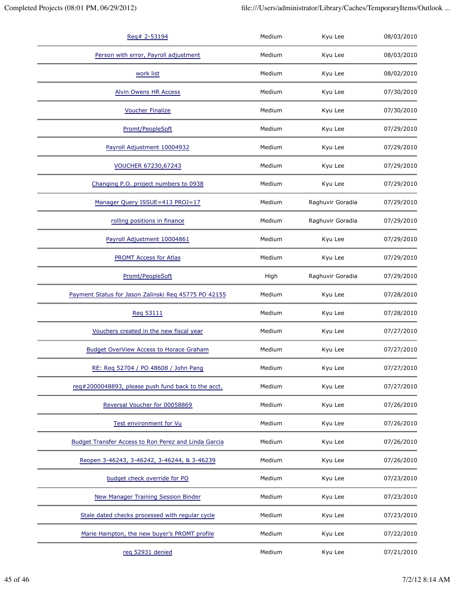| Reg# 2-53194                                         | Medium | Kyu Lee          | 08/03/2010 |
|------------------------------------------------------|--------|------------------|------------|
| Person with error, Payroll adjustment                | Medium | Kyu Lee          | 08/03/2010 |
| work list                                            | Medium | Kyu Lee          | 08/02/2010 |
| <b>Alvin Owens HR Access</b>                         | Medium | Kyu Lee          | 07/30/2010 |
| <b>Voucher Finalize</b>                              | Medium | Kyu Lee          | 07/30/2010 |
| Promt/PeopleSoft                                     | Medium | Kyu Lee          | 07/29/2010 |
| Payroll Adjustment 10004932                          | Medium | Kyu Lee          | 07/29/2010 |
| <b>VOUCHER 67230,67243</b>                           | Medium | Kyu Lee          | 07/29/2010 |
| Changing P.O. project numbers to 0938                | Medium | Kyu Lee          | 07/29/2010 |
| Manager Query ISSUE=413 PROJ=17                      | Medium | Raghuvir Goradia | 07/29/2010 |
| rolling positions in finance                         | Medium | Raghuvir Goradia | 07/29/2010 |
| Payroll Adjustment 10004861                          | Medium | Kyu Lee          | 07/29/2010 |
| <b>PROMT Access for Atlas</b>                        | Medium | Kyu Lee          | 07/29/2010 |
| Promt/PeopleSoft                                     | High   | Raghuvir Goradia | 07/29/2010 |
| Payment Status for Jason Zalinski Req 45775 PO 42155 | Medium | Kyu Lee          | 07/28/2010 |
| Req 53111                                            | Medium | Kyu Lee          | 07/28/2010 |
| Vouchers created in the new fiscal year              | Medium | Kyu Lee          | 07/27/2010 |
| <b>Budget OverView Access to Horace Graham</b>       | Medium | Kyu Lee          | 07/27/2010 |
| RE: Req 52704 / PO 48608 / John Pang                 | Medium | Kyu Lee          | 07/27/2010 |
| req#2000048893, please push fund back to the acct.   | Medium | Kyu Lee          | 07/27/2010 |
| Reversal Voucher for 00058869                        | Medium | Kyu Lee          | 07/26/2010 |
| Test environment for Vu                              | Medium | Kyu Lee          | 07/26/2010 |
| Budget Transfer Access to Ron Perez and Linda Garcia | Medium | Kyu Lee          | 07/26/2010 |
| Reopen 3-46243, 3-46242, 3-46244, & 3-46239          | Medium | Kyu Lee          | 07/26/2010 |
| budget check override for PO                         | Medium | Kyu Lee          | 07/23/2010 |
| <b>New Manager Training Session Binder</b>           | Medium | Kyu Lee          | 07/23/2010 |
| Stale dated checks processed with regular cycle      | Medium | Kyu Lee          | 07/23/2010 |
| Marie Hampton, the new buyer's PROMT profile         | Medium | Kyu Lee          | 07/22/2010 |
| reg 52931 denied                                     | Medium | Kyu Lee          | 07/21/2010 |